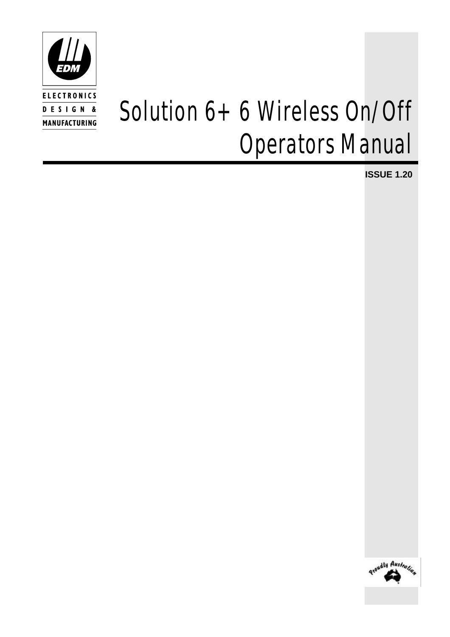

# *Solution 6+6 Wireless On/Off Operators Manual*

**ISSUE 1.20**

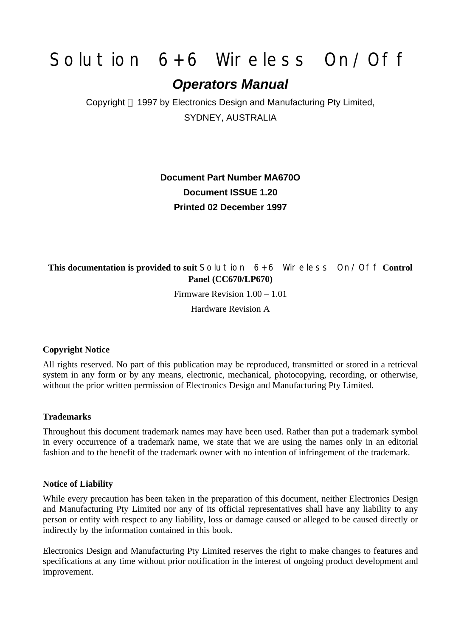# *Solution 6+6 Wireless On/Off*

### *Operators Manual*

Copyright 1997 by Electronics Design and Manufacturing Pty Limited, SYDNEY, AUSTRALIA

### **Document Part Number MA670O Document ISSUE 1.20 Printed 02 December 1997**

#### **This documentation is provided to suit** *Solution 6+6 Wireless On/Off* **Control Panel (CC670/LP670)**

Firmware Revision 1.00 – 1.01

Hardware Revision A

#### **Copyright Notice**

All rights reserved. No part of this publication may be reproduced, transmitted or stored in a retrieval system in any form or by any means, electronic, mechanical, photocopying, recording, or otherwise, without the prior written permission of Electronics Design and Manufacturing Pty Limited.

#### **Trademarks**

Throughout this document trademark names may have been used. Rather than put a trademark symbol in every occurrence of a trademark name, we state that we are using the names only in an editorial fashion and to the benefit of the trademark owner with no intention of infringement of the trademark.

#### **Notice of Liability**

While every precaution has been taken in the preparation of this document, neither Electronics Design and Manufacturing Pty Limited nor any of its official representatives shall have any liability to any person or entity with respect to any liability, loss or damage caused or alleged to be caused directly or indirectly by the information contained in this book.

Electronics Design and Manufacturing Pty Limited reserves the right to make changes to features and specifications at any time without prior notification in the interest of ongoing product development and improvement.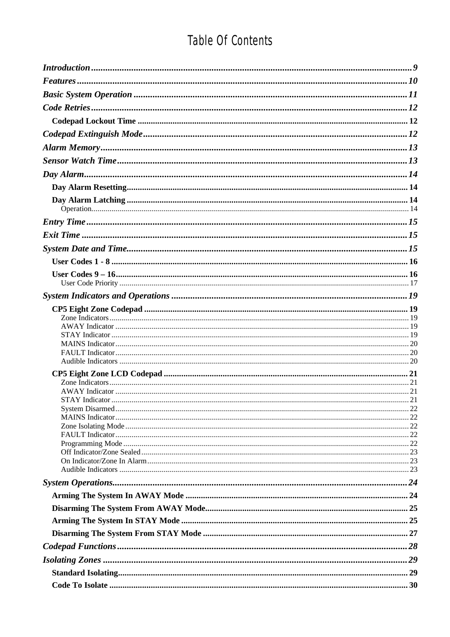# Table Of Contents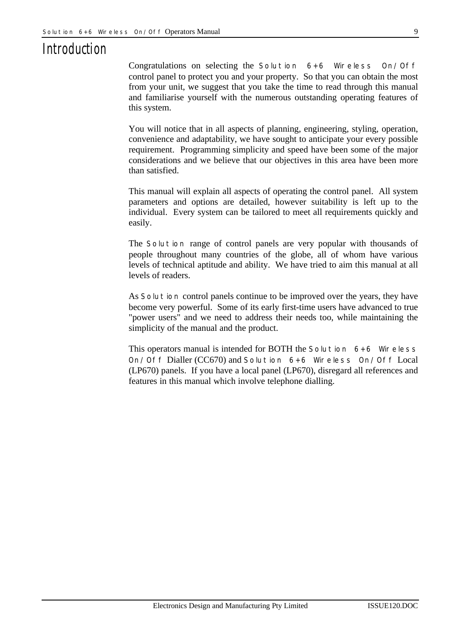### *Introduction*

Congratulations on selecting the *Solution 6+6 Wireless On/Off* control panel to protect you and your property. So that you can obtain the most from your unit, we suggest that you take the time to read through this manual and familiarise yourself with the numerous outstanding operating features of this system.

You will notice that in all aspects of planning, engineering, styling, operation, convenience and adaptability, we have sought to anticipate your every possible requirement. Programming simplicity and speed have been some of the major considerations and we believe that our objectives in this area have been more than satisfied.

This manual will explain all aspects of operating the control panel. All system parameters and options are detailed, however suitability is left up to the individual. Every system can be tailored to meet all requirements quickly and easily.

The *Solution* range of control panels are very popular with thousands of people throughout many countries of the globe, all of whom have various levels of technical aptitude and ability. We have tried to aim this manual at all levels of readers.

As *Solution* control panels continue to be improved over the years, they have become very powerful. Some of its early first-time users have advanced to true "power users" and we need to address their needs too, while maintaining the simplicity of the manual and the product.

This operators manual is intended for BOTH the *Solution 6+6 Wireless On/Off* Dialler (CC670) and *Solution 6+6 Wireless On/Off* Local (LP670) panels. If you have a local panel (LP670), disregard all references and features in this manual which involve telephone dialling.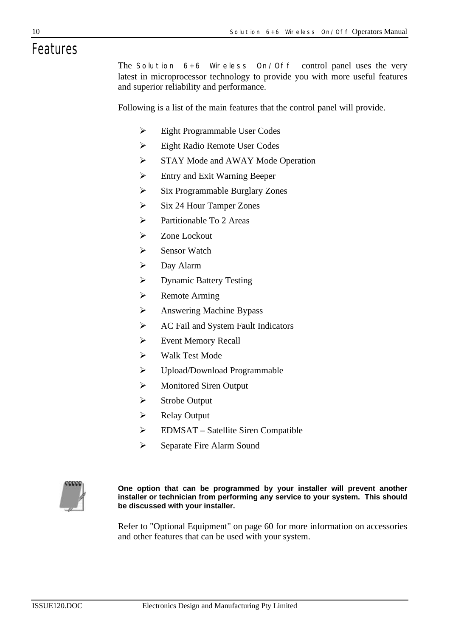# *Features*

The *Solution 6+6 Wireless On/Off* control panel uses the very latest in microprocessor technology to provide you with more useful features and superior reliability and performance.

Following is a list of the main features that the control panel will provide.

- $\triangleright$  Eight Programmable User Codes
- ÿ Eight Radio Remote User Codes
- $\triangleright$  STAY Mode and AWAY Mode Operation
- $\triangleright$  Entry and Exit Warning Beeper
- $\triangleright$  Six Programmable Burglary Zones
- $\triangleright$  Six 24 Hour Tamper Zones
- $\triangleright$  Partitionable To 2 Areas
- $\triangleright$  Zone Lockout
- $\triangleright$  Sensor Watch
- $\triangleright$  Day Alarm
- ÿ Dynamic Battery Testing
- $\triangleright$  Remote Arming
- $\triangleright$  Answering Machine Bypass
- **►** AC Fail and System Fault Indicators
- $\triangleright$  Event Memory Recall
- $\triangleright$  Walk Test Mode
- $\triangleright$  Upload/Download Programmable
- $\triangleright$  Monitored Siren Output
- $\triangleright$  Strobe Output
- $\triangleright$  Relay Output
- $\triangleright$  EDMSAT Satellite Siren Compatible
- $\triangleright$  Separate Fire Alarm Sound



**One option that can be programmed by your installer will prevent another installer or technician from performing any service to your system. This should be discussed with your installer.**

Refer to "Optional Equipment" on page 60 for more information on accessories and other features that can be used with your system.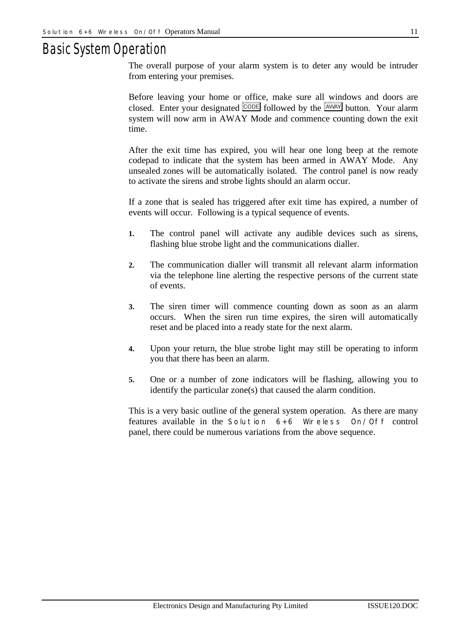### *Basic System Operation*

The overall purpose of your alarm system is to deter any would be intruder from entering your premises.

Before leaving your home or office, make sure all windows and doors are closed. Enter your designated  $\overline{CODE}$  followed by the  $\overline{AWAY}$  button. Your alarm system will now arm in AWAY Mode and commence counting down the exit time.

After the exit time has expired, you will hear one long beep at the remote codepad to indicate that the system has been armed in AWAY Mode. Any unsealed zones will be automatically isolated. The control panel is now ready to activate the sirens and strobe lights should an alarm occur.

If a zone that is sealed has triggered after exit time has expired, a number of events will occur. Following is a typical sequence of events.

- **1.** The control panel will activate any audible devices such as sirens, flashing blue strobe light and the communications dialler.
- **2.** The communication dialler will transmit all relevant alarm information via the telephone line alerting the respective persons of the current state of events.
- **3.** The siren timer will commence counting down as soon as an alarm occurs. When the siren run time expires, the siren will automatically reset and be placed into a ready state for the next alarm.
- **4.** Upon your return, the blue strobe light may still be operating to inform you that there has been an alarm.
- **5.** One or a number of zone indicators will be flashing, allowing you to identify the particular zone(s) that caused the alarm condition.

This is a very basic outline of the general system operation. As there are many features available in the *Solution 6+6 Wireless On/Off* control panel, there could be numerous variations from the above sequence.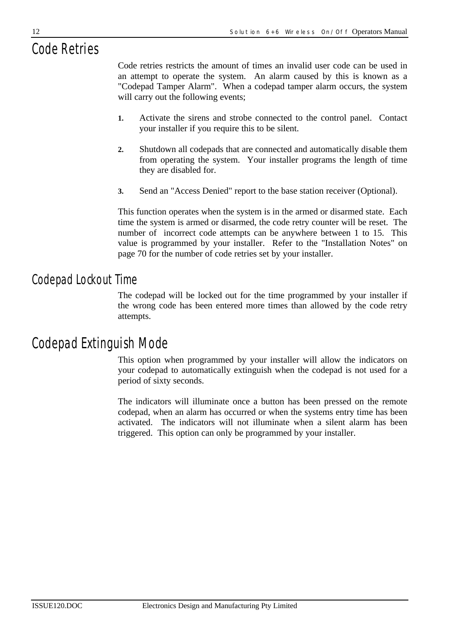# *Code Retries*

Code retries restricts the amount of times an invalid user code can be used in an attempt to operate the system. An alarm caused by this is known as a "Codepad Tamper Alarm". When a codepad tamper alarm occurs, the system will carry out the following events;

- **1.** Activate the sirens and strobe connected to the control panel. Contact your installer if you require this to be silent.
- **2.** Shutdown all codepads that are connected and automatically disable them from operating the system. Your installer programs the length of time they are disabled for.
- **3.** Send an "Access Denied" report to the base station receiver (Optional).

This function operates when the system is in the armed or disarmed state. Each time the system is armed or disarmed, the code retry counter will be reset. The number of incorrect code attempts can be anywhere between 1 to 15. This value is programmed by your installer. Refer to the "Installation Notes" on page 70 for the number of code retries set by your installer.

### *Codepad Lockout Time*

The codepad will be locked out for the time programmed by your installer if the wrong code has been entered more times than allowed by the code retry attempts.

### *Codepad Extinguish Mode*

This option when programmed by your installer will allow the indicators on your codepad to automatically extinguish when the codepad is not used for a period of sixty seconds.

The indicators will illuminate once a button has been pressed on the remote codepad, when an alarm has occurred or when the systems entry time has been activated. The indicators will not illuminate when a silent alarm has been triggered. This option can only be programmed by your installer.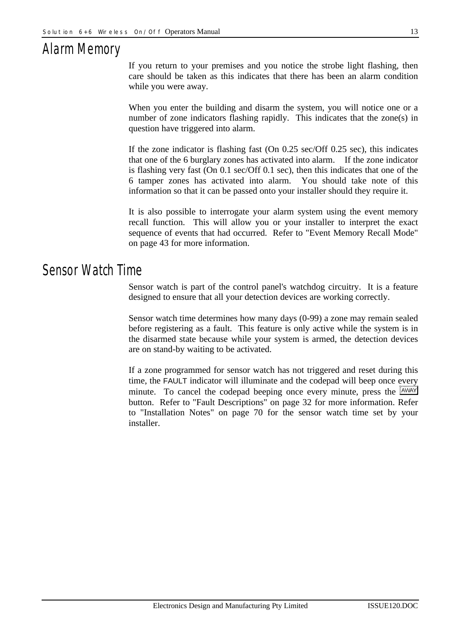# *Alarm Memory*

If you return to your premises and you notice the strobe light flashing, then care should be taken as this indicates that there has been an alarm condition while you were away.

When you enter the building and disarm the system, you will notice one or a number of zone indicators flashing rapidly. This indicates that the zone(s) in question have triggered into alarm.

If the zone indicator is flashing fast (On 0.25 sec/Off 0.25 sec), this indicates that one of the 6 burglary zones has activated into alarm. If the zone indicator is flashing very fast (On 0.1 sec/Off 0.1 sec), then this indicates that one of the 6 tamper zones has activated into alarm. You should take note of this information so that it can be passed onto your installer should they require it.

It is also possible to interrogate your alarm system using the event memory recall function. This will allow you or your installer to interpret the exact sequence of events that had occurred. Refer to "Event Memory Recall Mode" on page 43 for more information.

### *Sensor Watch Time*

Sensor watch is part of the control panel's watchdog circuitry. It is a feature designed to ensure that all your detection devices are working correctly.

Sensor watch time determines how many days (0-99) a zone may remain sealed before registering as a fault. This feature is only active while the system is in the disarmed state because while your system is armed, the detection devices are on stand-by waiting to be activated.

If a zone programmed for sensor watch has not triggered and reset during this time, the FAULT indicator will illuminate and the codepad will beep once every minute. To cancel the codepad beeping once every minute, press the  $\frac{[AWAY]}{[AWAY]}$ button. Refer to "Fault Descriptions" on page 32 for more information. Refer to "Installation Notes" on page 70 for the sensor watch time set by your installer.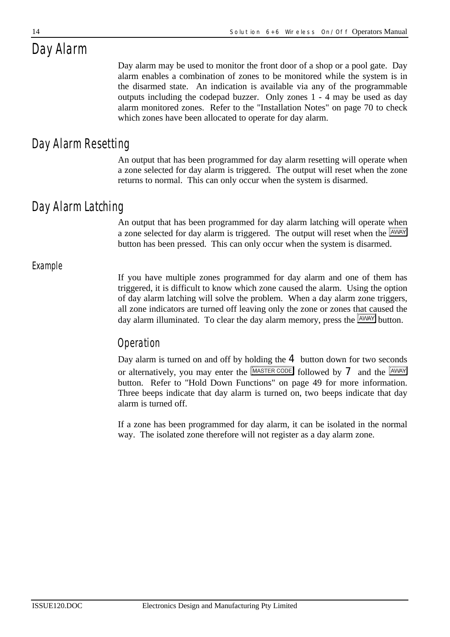# *Day Alarm*

Day alarm may be used to monitor the front door of a shop or a pool gate. Day alarm enables a combination of zones to be monitored while the system is in the disarmed state. An indication is available via any of the programmable outputs including the codepad buzzer. Only zones 1 - 4 may be used as day alarm monitored zones. Refer to the "Installation Notes" on page 70 to check which zones have been allocated to operate for day alarm.

### *Day Alarm Resetting*

An output that has been programmed for day alarm resetting will operate when a zone selected for day alarm is triggered. The output will reset when the zone returns to normal. This can only occur when the system is disarmed.

### *Day Alarm Latching*

An output that has been programmed for day alarm latching will operate when a zone selected for day alarm is triggered. The output will reset when the  $\frac{[AWAY]}{[AWAY]}$ button has been pressed. This can only occur when the system is disarmed.

#### *Example*

If you have multiple zones programmed for day alarm and one of them has triggered, it is difficult to know which zone caused the alarm. Using the option of day alarm latching will solve the problem. When a day alarm zone triggers, all zone indicators are turned off leaving only the zone or zones that caused the day alarm illuminated. To clear the day alarm memory, press the  $\sqrt{\frac{AWAY}{W}}$  button.

### *Operation*

Day alarm is turned on and off by holding the  $4$  button down for two seconds or alternatively, you may enter the  $\sqrt{\frac{MASTERCODE}{\text{Collowed by } \mathbf{7}}}$  and the  $\sqrt{\frac{AWNY}{\text{Aloway}}}$ button. Refer to "Hold Down Functions" on page 49 for more information. Three beeps indicate that day alarm is turned on, two beeps indicate that day alarm is turned off.

If a zone has been programmed for day alarm, it can be isolated in the normal way. The isolated zone therefore will not register as a day alarm zone.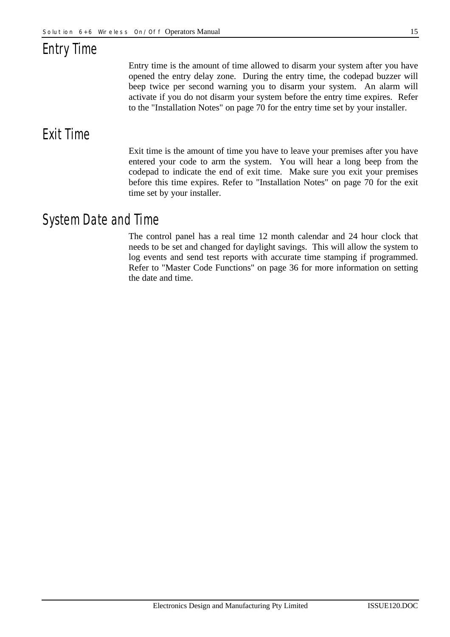# *Entry Time*

Entry time is the amount of time allowed to disarm your system after you have opened the entry delay zone. During the entry time, the codepad buzzer will beep twice per second warning you to disarm your system. An alarm will activate if you do not disarm your system before the entry time expires. Refer to the "Installation Notes" on page 70 for the entry time set by your installer.

### *Exit Time*

Exit time is the amount of time you have to leave your premises after you have entered your code to arm the system. You will hear a long beep from the codepad to indicate the end of exit time. Make sure you exit your premises before this time expires. Refer to "Installation Notes" on page 70 for the exit time set by your installer.

### *System Date and Time*

The control panel has a real time 12 month calendar and 24 hour clock that needs to be set and changed for daylight savings. This will allow the system to log events and send test reports with accurate time stamping if programmed. Refer to "Master Code Functions" on page 36 for more information on setting the date and time.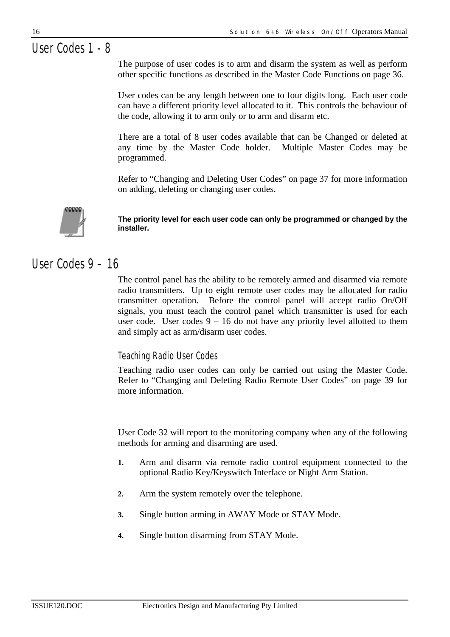# *User Codes 1 - 8*

The purpose of user codes is to arm and disarm the system as well as perform other specific functions as described in the Master Code Functions on page 36.

User codes can be any length between one to four digits long. Each user code can have a different priority level allocated to it. This controls the behaviour of the code, allowing it to arm only or to arm and disarm etc.

There are a total of 8 user codes available that can be Changed or deleted at any time by the Master Code holder. Multiple Master Codes may be programmed.

Refer to "Changing and Deleting User Codes" on page 37 for more information on adding, deleting or changing user codes.



**The priority level for each user code can only be programmed or changed by the installer.**

### *User Codes 9 – 16*

The control panel has the ability to be remotely armed and disarmed via remote radio transmitters. Up to eight remote user codes may be allocated for radio transmitter operation. Before the control panel will accept radio On/Off signals, you must teach the control panel which transmitter is used for each user code. User codes  $9 - 16$  do not have any priority level allotted to them and simply act as arm/disarm user codes.

#### *Teaching Radio User Codes*

Teaching radio user codes can only be carried out using the Master Code. Refer to "Changing and Deleting Radio Remote User Codes" on page 39 for more information.

User Code 32 will report to the monitoring company when any of the following methods for arming and disarming are used.

- **1.** Arm and disarm via remote radio control equipment connected to the optional Radio Key/Keyswitch Interface or Night Arm Station.
- **2.** Arm the system remotely over the telephone.
- **3.** Single button arming in AWAY Mode or STAY Mode.
- **4.** Single button disarming from STAY Mode.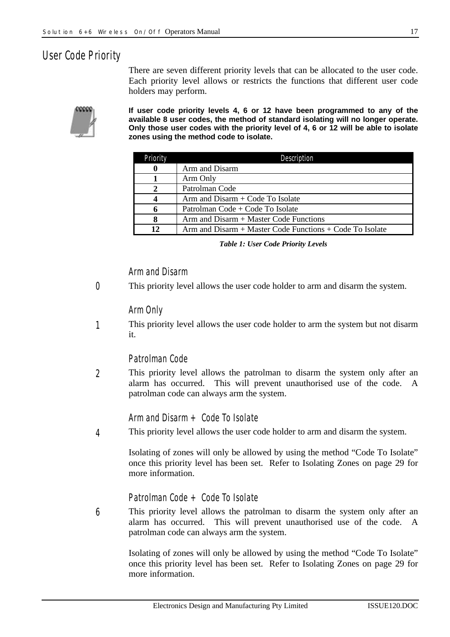#### *User Code Priority*

There are seven different priority levels that can be allocated to the user code. Each priority level allows or restricts the functions that different user code holders may perform.



**If user code priority levels 4, 6 or 12 have been programmed to any of the available 8 user codes, the method of standard isolating will no longer operate. Only those user codes with the priority level of 4, 6 or 12 will be able to isolate zones using the method code to isolate.**

| Priority | Description                                              |  |
|----------|----------------------------------------------------------|--|
|          | Arm and Disarm                                           |  |
|          | Arm Only                                                 |  |
|          | Patrolman Code                                           |  |
|          | $Arm and Disarm + Code To Isolate$                       |  |
|          | Patrolman Code + Code To Isolate                         |  |
| 8        | $Arm$ and $Disarm + Master Code Functions$               |  |
| 12       | Arm and Disarm + Master Code Functions + Code To Isolate |  |

*Table 1: User Code Priority Levels*

#### *Arm and Disarm*

This priority level allows the user code holder to arm and disarm the system. *0*

#### *Arm Only*

This priority level allows the user code holder to arm the system but not disarm it. *1*

#### *Patrolman Code*

This priority level allows the patrolman to disarm the system only after an alarm has occurred. This will prevent unauthorised use of the code. A patrolman code can always arm the system. *2*

#### *Arm and Disarm + Code To Isolate*

This priority level allows the user code holder to arm and disarm the system. *4*

> Isolating of zones will only be allowed by using the method "Code To Isolate" once this priority level has been set. Refer to Isolating Zones on page 29 for more information.

#### *Patrolman Code + Code To Isolate*

This priority level allows the patrolman to disarm the system only after an alarm has occurred. This will prevent unauthorised use of the code. A patrolman code can always arm the system. *6*

Isolating of zones will only be allowed by using the method "Code To Isolate" once this priority level has been set. Refer to Isolating Zones on page 29 for more information.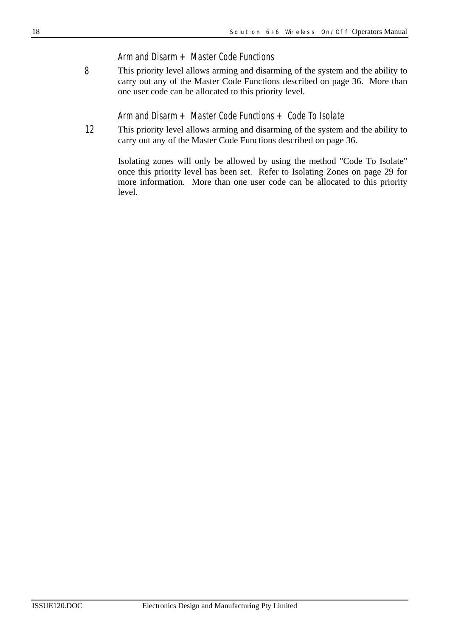#### *Arm and Disarm + Master Code Functions*

This priority level allows arming and disarming of the system and the ability to carry out any of the Master Code Functions described on page 36. More than one user code can be allocated to this priority level. *8*

*Arm and Disarm + Master Code Functions + Code To Isolate*

This priority level allows arming and disarming of the system and the ability to carry out any of the Master Code Functions described on page 36. *12*

Isolating zones will only be allowed by using the method "Code To Isolate" once this priority level has been set. Refer to Isolating Zones on page 29 for more information. More than one user code can be allocated to this priority level.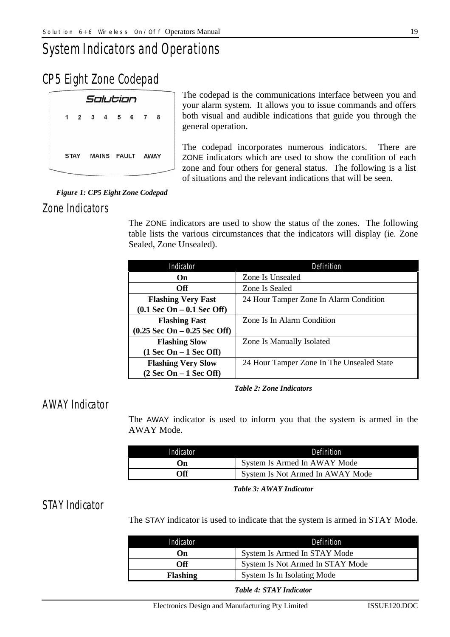# *System Indicators and Operations*

### *CP5 Eight Zone Codepad*

|                                                                                                                |  | Solution |                       |                                               |  |
|----------------------------------------------------------------------------------------------------------------|--|----------|-----------------------|-----------------------------------------------|--|
|                                                                                                                |  |          | 1 2 3 4 5 6 7         | 8                                             |  |
|                                                                                                                |  |          |                       |                                               |  |
|                                                                                                                |  |          | STAY MAINS FAULT AWAY |                                               |  |
| a karawatan ing Kabupatèn Kabupatèn Kabupatèn Kabupatèn Kabupatèn Kabupatèn Kabupatèn Kabupatèn Kabupatèn Kabu |  |          |                       | the party named in column 2 is not the owner. |  |

The codepad is the communications interface between you and your alarm system. It allows you to issue commands and offers both visual and audible indications that guide you through the general operation.

The codepad incorporates numerous indicators. There are ZONE indicators which are used to show the condition of each zone and four others for general status. The following is a list of situations and the relevant indications that will be seen.

#### *Figure 1: CP5 Eight Zone Codepad*

#### *Zone Indicators*

The ZONE indicators are used to show the status of the zones. The following table lists the various circumstances that the indicators will display (ie. Zone Sealed, Zone Unsealed).

| Indicator                                      | Definition                                |  |  |
|------------------------------------------------|-------------------------------------------|--|--|
| On                                             | Zone Is Unsealed                          |  |  |
| <b>Off</b>                                     | Zone Is Sealed                            |  |  |
| <b>Flashing Very Fast</b>                      | 24 Hour Tamper Zone In Alarm Condition    |  |  |
| $(0.1$ Sec On $-0.1$ Sec Off)                  |                                           |  |  |
| <b>Flashing Fast</b>                           | Zone Is In Alarm Condition                |  |  |
| $(0.25 \text{ Sec On} - 0.25 \text{ Sec Off})$ |                                           |  |  |
| <b>Flashing Slow</b>                           | Zone Is Manually Isolated                 |  |  |
| $(1$ Sec On – 1 Sec Off)                       |                                           |  |  |
| <b>Flashing Very Slow</b>                      | 24 Hour Tamper Zone In The Unsealed State |  |  |
| $(2 Sec On - 1 Sec Off)$                       |                                           |  |  |

*Table 2: Zone Indicators*

#### *AWAY Indicator*

The AWAY indicator is used to inform you that the system is armed in the AWAY Mode.

| Indicator  | Definition                       |
|------------|----------------------------------|
| On)        | System Is Armed In AWAY Mode     |
| <b>Off</b> | System Is Not Armed In AWAY Mode |

*Table 3: AWAY Indicator*

#### *STAY Indicator*

The STAY indicator is used to indicate that the system is armed in STAY Mode.

| Indicator       | Definition                       |
|-----------------|----------------------------------|
| On)             | System Is Armed In STAY Mode     |
| Off             | System Is Not Armed In STAY Mode |
| <b>Flashing</b> | System Is In Isolating Mode      |

#### *Table 4: STAY Indicator*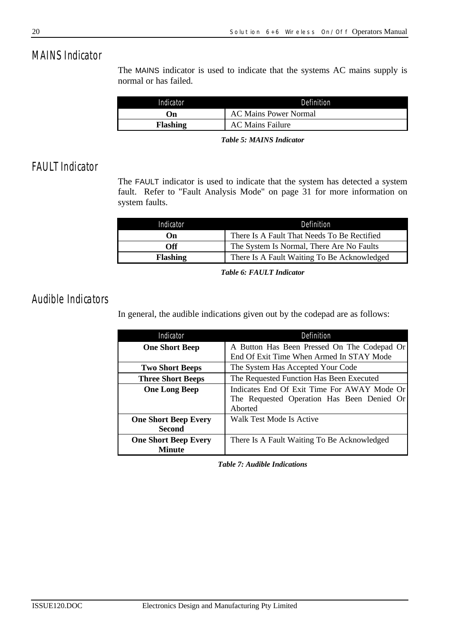### *MAINS Indicator*

The MAINS indicator is used to indicate that the systems AC mains supply is normal or has failed.

| Indicator | Definition                   |
|-----------|------------------------------|
| . Jn      | <b>AC Mains Power Normal</b> |
| Flashing  | <b>AC Mains Failure</b>      |

*Table 5: MAINS Indicator*

### *FAULT Indicator*

The FAULT indicator is used to indicate that the system has detected a system fault. Refer to "Fault Analysis Mode" on page 31 for more information on system faults.

| Indicator       | Definition                                  |
|-----------------|---------------------------------------------|
| On)             | There Is A Fault That Needs To Be Rectified |
| Off             | The System Is Normal, There Are No Faults   |
| <b>Flashing</b> | There Is A Fault Waiting To Be Acknowledged |

*Table 6: FAULT Indicator*

#### *Audible Indicators*

In general, the audible indications given out by the codepad are as follows:

| Indicator                                    | Definition                                                                                           |
|----------------------------------------------|------------------------------------------------------------------------------------------------------|
| <b>One Short Beep</b>                        | A Button Has Been Pressed On The Codepad Or<br>End Of Exit Time When Armed In STAY Mode              |
| <b>Two Short Beeps</b>                       | The System Has Accepted Your Code                                                                    |
| <b>Three Short Beeps</b>                     | The Requested Function Has Been Executed                                                             |
| <b>One Long Beep</b>                         | Indicates End Of Exit Time For AWAY Mode Or<br>The Requested Operation Has Been Denied Or<br>Aborted |
| <b>One Short Beep Every</b><br><b>Second</b> | Walk Test Mode Is Active                                                                             |
| <b>One Short Beep Every</b><br><b>Minute</b> | There Is A Fault Waiting To Be Acknowledged                                                          |

*Table 7: Audible Indications*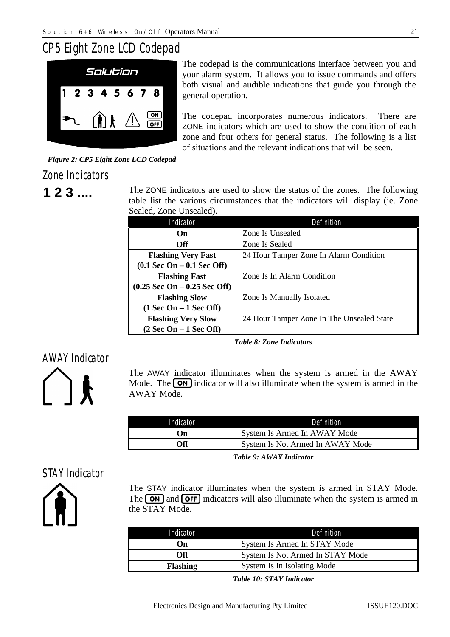### *CP5 Eight Zone LCD Codepad*



The codepad is the communications interface between you and your alarm system. It allows you to issue commands and offers both visual and audible indications that guide you through the general operation.

The codepad incorporates numerous indicators. There are ZONE indicators which are used to show the condition of each zone and four others for general status. The following is a list of situations and the relevant indications that will be seen.

*Figure 2: CP5 Eight Zone LCD Codepad*

#### *Zone Indicators*

**1 2 3 ....** The ZONE indicators are used to show the status of the zones. The following table list the various circumstances that the indicators will display (ie. Zone Sealed, Zone Unsealed).

| Indicator                                    | Definition                                |
|----------------------------------------------|-------------------------------------------|
| On.                                          | Zone Is Unsealed                          |
| <b>Off</b>                                   | Zone Is Sealed                            |
| <b>Flashing Very Fast</b>                    | 24 Hour Tamper Zone In Alarm Condition    |
| $(0.1 \text{ Sec On} - 0.1 \text{ Sec Off})$ |                                           |
| <b>Flashing Fast</b>                         | Zone Is In Alarm Condition                |
| $(0.25$ Sec On $-0.25$ Sec Off)              |                                           |
| <b>Flashing Slow</b>                         | Zone Is Manually Isolated                 |
| $(1 Sec On - 1 Sec Off)$                     |                                           |
| <b>Flashing Very Slow</b>                    | 24 Hour Tamper Zone In The Unsealed State |
| $(2 \text{ Sec On} - 1 \text{ Sec Off})$     |                                           |

*Table 8: Zone Indicators*

### *AWAY Indicator*



The AWAY indicator illuminates when the system is armed in the AWAY Mode. The  $\overline{ON}$  indicator will also illuminate when the system is armed in the AWAY Mode.

| System Is Armed In AWAY Mode     |
|----------------------------------|
| System Is Not Armed In AWAY Mode |
|                                  |

*Table 9: AWAY Indicator*

### *STAY Indicator*



The STAY indicator illuminates when the system is armed in STAY Mode. The  $\overline{ON}$  and  $\overline{OFF}$  indicators will also illuminate when the system is armed in the STAY Mode.

| Indicator       | Definition                       |
|-----------------|----------------------------------|
| On)             | System Is Armed In STAY Mode     |
| Off             | System Is Not Armed In STAY Mode |
| <b>Flashing</b> | System Is In Isolating Mode      |

*Table 10: STAY Indicator*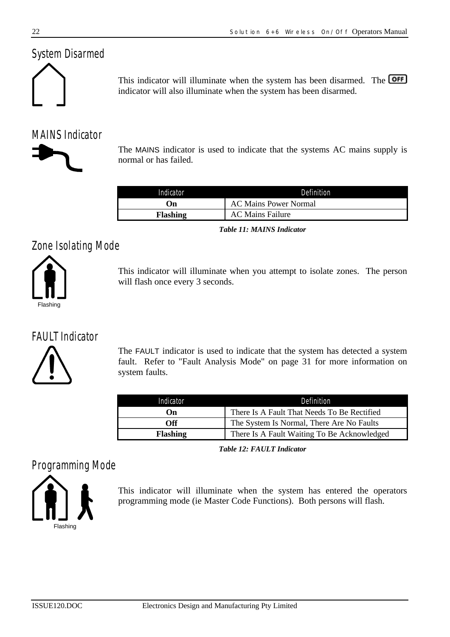### *System Disarmed*



This indicator will illuminate when the system has been disarmed. The **OFF** indicator will also illuminate when the system has been disarmed.

### *MAINS Indicator*

The MAINS indicator is used to indicate that the systems AC mains supply is normal or has failed.

| Indicator       | Definition                   |
|-----------------|------------------------------|
| On)             | <b>AC Mains Power Normal</b> |
| <b>Flashing</b> | <b>AC Mains Failure</b>      |

*Table 11: MAINS Indicator*

### *Zone Isolating Mode*



This indicator will illuminate when you attempt to isolate zones. The person will flash once every 3 seconds.

### *FAULT Indicator*



The FAULT indicator is used to indicate that the system has detected a system fault. Refer to "Fault Analysis Mode" on page 31 for more information on system faults.

| Indicator       | Definition                                  |
|-----------------|---------------------------------------------|
| Oп              | There Is A Fault That Needs To Be Rectified |
| Off             | The System Is Normal, There Are No Faults   |
| <b>Flashing</b> | There Is A Fault Waiting To Be Acknowledged |

*Table 12: FAULT Indicator*

### *Programming Mode*



This indicator will illuminate when the system has entered the operators programming mode (ie Master Code Functions). Both persons will flash.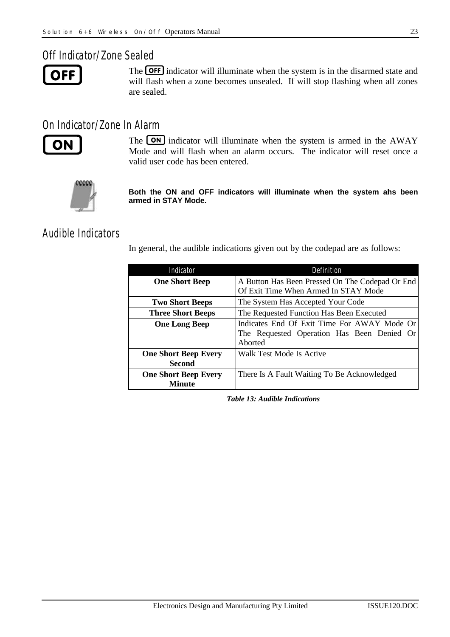#### *Off Indicator/Zone Sealed*

```
OFF
```
The **OFF** indicator will illuminate when the system is in the disarmed state and will flash when a zone becomes unsealed. If will stop flashing when all zones are sealed.

#### *On Indicator/Zone In Alarm*



The **ON** indicator will illuminate when the system is armed in the AWAY Mode and will flash when an alarm occurs. The indicator will reset once a valid user code has been entered.



**Both the ON and OFF indicators will illuminate when the system ahs been armed in STAY Mode.**

#### *Audible Indicators*

In general, the audible indications given out by the codepad are as follows:

| Indicator                                    | Definition                                                                                           |
|----------------------------------------------|------------------------------------------------------------------------------------------------------|
| <b>One Short Beep</b>                        | A Button Has Been Pressed On The Codepad Or End<br>Of Exit Time When Armed In STAY Mode              |
| <b>Two Short Beeps</b>                       | The System Has Accepted Your Code                                                                    |
| <b>Three Short Beeps</b>                     | The Requested Function Has Been Executed                                                             |
| <b>One Long Beep</b>                         | Indicates End Of Exit Time For AWAY Mode Or<br>The Requested Operation Has Been Denied Or<br>Aborted |
| <b>One Short Beep Every</b><br><b>Second</b> | Walk Test Mode Is Active                                                                             |
| <b>One Short Beep Every</b><br>Minute        | There Is A Fault Waiting To Be Acknowledged                                                          |

*Table 13: Audible Indications*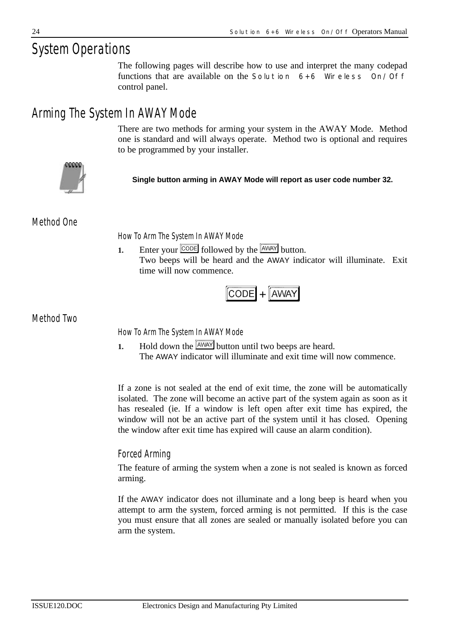# *System Operations*

The following pages will describe how to use and interpret the many codepad functions that are available on the *Solution 6+6 Wireless On/Off* control panel.

### *Arming The System In AWAY Mode*

There are two methods for arming your system in the AWAY Mode. Method one is standard and will always operate. Method two is optional and requires to be programmed by your installer.



**Single button arming in AWAY Mode will report as user code number 32.**

*Method One*

*How To Arm The System In AWAY Mode*

**1.** Enter your CODE followed by the AWAY button. Two beeps will be heard and the AWAY indicator will illuminate. Exit time will now commence.

$$
\fbox{CODE} + \fbox{AWAY}
$$

*Method Two*

*How To Arm The System In AWAY Mode*

**1.** Hold down the  $\boxed{\text{AWAY}}$  button until two beeps are heard. The AWAY indicator will illuminate and exit time will now commence.

If a zone is not sealed at the end of exit time, the zone will be automatically isolated. The zone will become an active part of the system again as soon as it has resealed (ie. If a window is left open after exit time has expired, the window will not be an active part of the system until it has closed. Opening the window after exit time has expired will cause an alarm condition).

#### *Forced Arming*

The feature of arming the system when a zone is not sealed is known as forced arming.

If the AWAY indicator does not illuminate and a long beep is heard when you attempt to arm the system, forced arming is not permitted. If this is the case you must ensure that all zones are sealed or manually isolated before you can arm the system.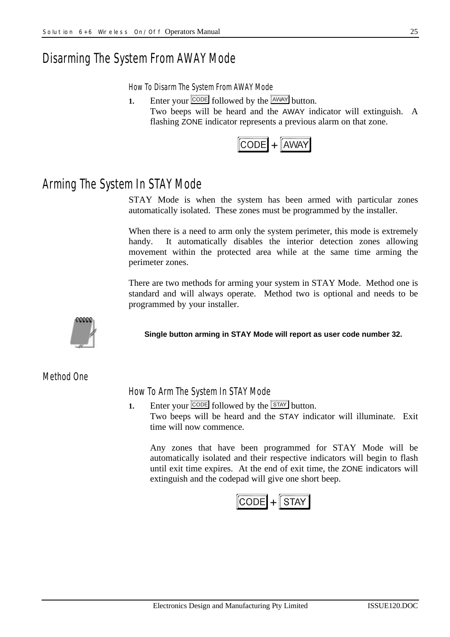### *Disarming The System From AWAY Mode*

*How To Disarm The System From AWAY Mode*

**1.** Enter your  $\boxed{\text{CODE}}$  followed by the  $\boxed{\text{AWAY}}$  button. Two beeps will be heard and the AWAY indicator will extinguish. A flashing ZONE indicator represents a previous alarm on that zone.



### *Arming The System In STAY Mode*

STAY Mode is when the system has been armed with particular zones automatically isolated. These zones must be programmed by the installer.

When there is a need to arm only the system perimeter, this mode is extremely handy. It automatically disables the interior detection zones allowing movement within the protected area while at the same time arming the perimeter zones.

There are two methods for arming your system in STAY Mode. Method one is standard and will always operate. Method two is optional and needs to be programmed by your installer.



**Single button arming in STAY Mode will report as user code number 32.**

*Method One*

*How To Arm The System In STAY Mode*

**1.** Enter your  $\overline{CODE}$  followed by the  $\overline{S TAY}$  button. Two beeps will be heard and the STAY indicator will illuminate. Exit time will now commence.

Any zones that have been programmed for STAY Mode will be automatically isolated and their respective indicators will begin to flash until exit time expires. At the end of exit time, the ZONE indicators will extinguish and the codepad will give one short beep.

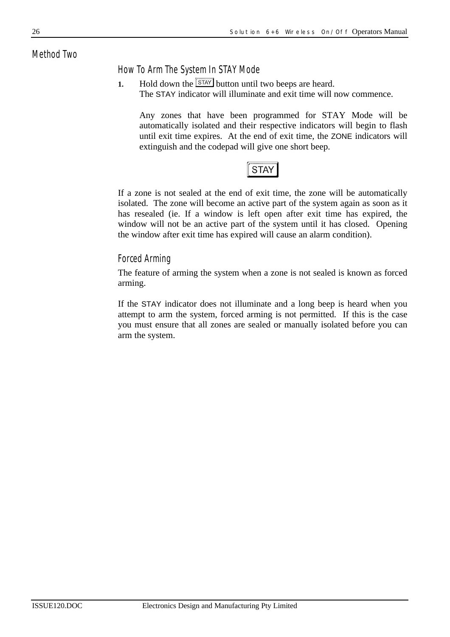#### *Method Two*

#### *How To Arm The System In STAY Mode*

**1.** Hold down the  $\boxed{\text{STAT}}$  button until two beeps are heard. The STAY indicator will illuminate and exit time will now commence.

Any zones that have been programmed for STAY Mode will be automatically isolated and their respective indicators will begin to flash until exit time expires. At the end of exit time, the ZONE indicators will extinguish and the codepad will give one short beep.

#### **STAY**

If a zone is not sealed at the end of exit time, the zone will be automatically isolated. The zone will become an active part of the system again as soon as it has resealed (ie. If a window is left open after exit time has expired, the window will not be an active part of the system until it has closed. Opening the window after exit time has expired will cause an alarm condition).

#### *Forced Arming*

The feature of arming the system when a zone is not sealed is known as forced arming.

If the STAY indicator does not illuminate and a long beep is heard when you attempt to arm the system, forced arming is not permitted. If this is the case you must ensure that all zones are sealed or manually isolated before you can arm the system.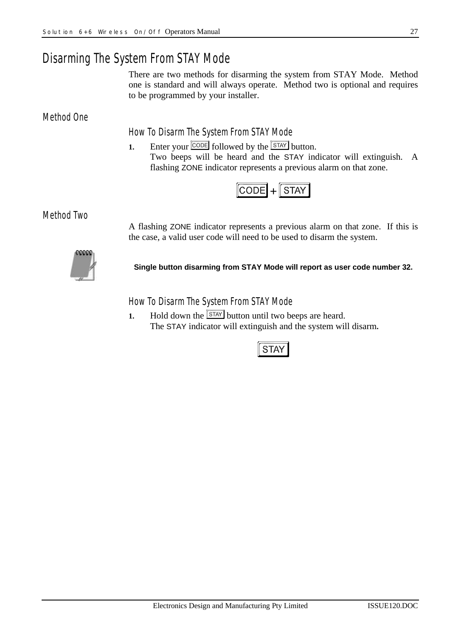### *Disarming The System From STAY Mode*

There are two methods for disarming the system from STAY Mode. Method one is standard and will always operate. Method two is optional and requires to be programmed by your installer.

*Method One*

*How To Disarm The System From STAY Mode*

**1.** Enter your  $\boxed{\text{CODE}}$  followed by the  $\boxed{\text{STAT}}$  button. Two beeps will be heard and the STAY indicator will extinguish. A flashing ZONE indicator represents a previous alarm on that zone.



*Method Two*

A flashing ZONE indicator represents a previous alarm on that zone. If this is the case, a valid user code will need to be used to disarm the system.



**Single button disarming from STAY Mode will report as user code number 32.**

*How To Disarm The System From STAY Mode*

**1.** Hold down the  $\boxed{\text{STAT}}$  button until two beeps are heard. The STAY indicator will extinguish and the system will disarm**.**

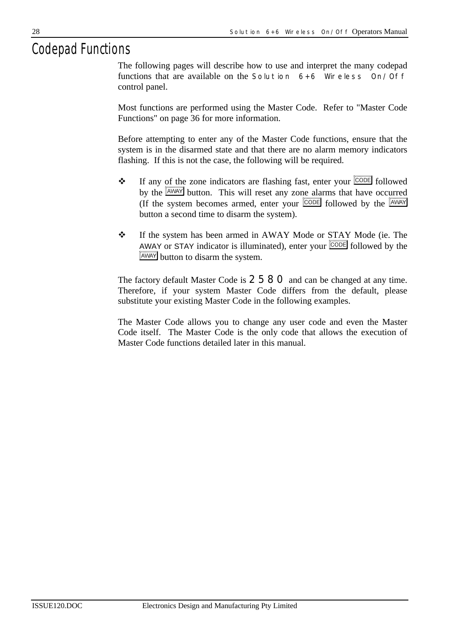### *Codepad Functions*

The following pages will describe how to use and interpret the many codepad functions that are available on the *Solution 6+6 Wireless On/Off* control panel.

Most functions are performed using the Master Code. Refer to "Master Code Functions" on page 36 for more information.

Before attempting to enter any of the Master Code functions, ensure that the system is in the disarmed state and that there are no alarm memory indicators flashing. If this is not the case, the following will be required.

- $\mathbf{\hat{P}}$  If any of the zone indicators are flashing fast, enter your  $\boxed{\text{CODE}}$  followed by the  $\sqrt{\frac{AWAY}{W}}$  button. This will reset any zone alarms that have occurred (If the system becomes armed, enter your  $\overline{CODE}$  followed by the  $\overline{AWAY}$ button a second time to disarm the system).
- \* If the system has been armed in AWAY Mode or STAY Mode (ie. The AWAY or STAY indicator is illuminated), enter your **CODE** followed by the **AWAY** button to disarm the system.

The factory default Master Code is **2580** and can be changed at any time. Therefore, if your system Master Code differs from the default, please substitute your existing Master Code in the following examples.

The Master Code allows you to change any user code and even the Master Code itself. The Master Code is the only code that allows the execution of Master Code functions detailed later in this manual.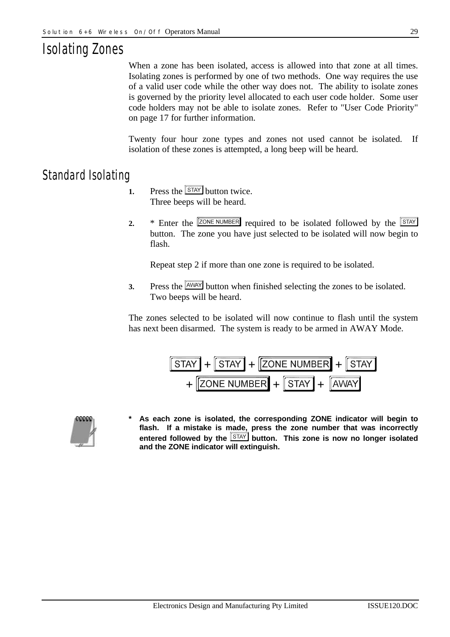# *Isolating Zones*

When a zone has been isolated, access is allowed into that zone at all times. Isolating zones is performed by one of two methods. One way requires the use of a valid user code while the other way does not. The ability to isolate zones is governed by the priority level allocated to each user code holder. Some user code holders may not be able to isolate zones. Refer to "User Code Priority" on page 17 for further information.

Twenty four hour zone types and zones not used cannot be isolated. If isolation of these zones is attempted, a long beep will be heard.

### *Standard Isolating*

- **1.** Press the **STAY** button twice. Three beeps will be heard.
- **2.** \* Enter the **ZONE NUMBER** required to be isolated followed by the **STAY** button. The zone you have just selected to be isolated will now begin to flash.

Repeat step 2 if more than one zone is required to be isolated.

**3.** Press the  $\frac{[AWAY]}{WAY}$  button when finished selecting the zones to be isolated. Two beeps will be heard.

The zones selected to be isolated will now continue to flash until the system has next been disarmed. The system is ready to be armed in AWAY Mode.





**\* As each zone is isolated, the corresponding ZONE indicator will begin to flash. If a mistake is made, press the zone number that was incorrectly** entered followed by the **STAY** button. This zone is now no longer isolated **and the ZONE indicator will extinguish.**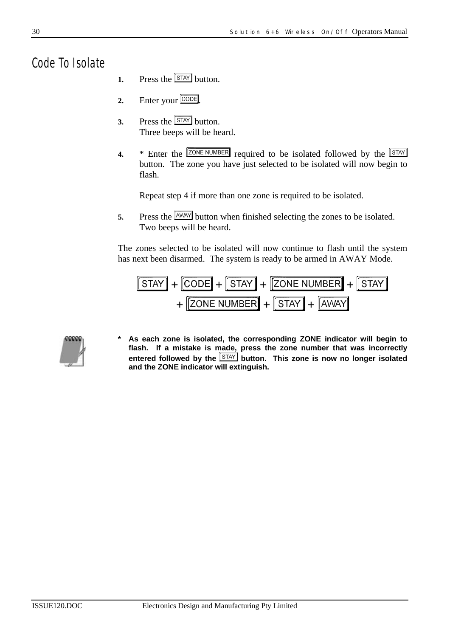*Code To Isolate*

- **1.** Press the  $\sqrt{\frac{STAY}{SUM}}$  button.
- 2. Enter your CODE
- **3.** Press the  $\boxed{\text{STAT}}$  button. Three beeps will be heard.
- **4.** \* Enter the **ZONE NUMBER** required to be isolated followed by the **STAY** button. The zone you have just selected to be isolated will now begin to flash.

Repeat step 4 if more than one zone is required to be isolated.

**5.** Press the  $\frac{[AWAY]}{WAY}$  button when finished selecting the zones to be isolated. Two beeps will be heard.

The zones selected to be isolated will now continue to flash until the system has next been disarmed. The system is ready to be armed in AWAY Mode.





**\* As each zone is isolated, the corresponding ZONE indicator will begin to flash. If a mistake is made, press the zone number that was incorrectly entered followed by the button. This zone is now no longer isolated and the ZONE indicator will extinguish.**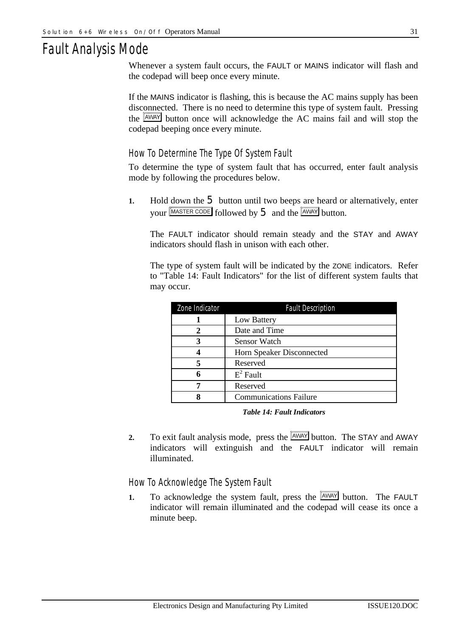### *Fault Analysis Mode*

Whenever a system fault occurs, the FAULT or MAINS indicator will flash and the codepad will beep once every minute.

If the MAINS indicator is flashing, this is because the AC mains supply has been disconnected. There is no need to determine this type of system fault. Pressing the  $\frac{AWMAY}{B}$  button once will acknowledge the AC mains fail and will stop the codepad beeping once every minute.

#### *How To Determine The Type Of System Fault*

To determine the type of system fault that has occurred, enter fault analysis mode by following the procedures below.

**1.** Hold down the 5 button until two beeps are heard or alternatively, enter your  $\boxed{\text{MASTER CODE}}$  followed by  $5$  and the  $\boxed{\text{AWAY}}$  button.

The FAULT indicator should remain steady and the STAY and AWAY indicators should flash in unison with each other.

The type of system fault will be indicated by the ZONE indicators. Refer to "Table 14: Fault Indicators" for the list of different system faults that may occur.

| Zone Indicator | <b>Fault Description</b>      |
|----------------|-------------------------------|
|                | Low Battery                   |
| 2              | Date and Time                 |
| 3              | Sensor Watch                  |
|                | Horn Speaker Disconnected     |
| 5              | Reserved                      |
| 6              | $E^2$ Fault                   |
|                | Reserved                      |
| Я              | <b>Communications Failure</b> |

*Table 14: Fault Indicators*

**2.** To exit fault analysis mode, press the  $\sqrt{\frac{AWAY}{AWA}}$  button. The STAY and AWAY indicators will extinguish and the FAULT indicator will remain illuminated.

#### *How To Acknowledge The System Fault*

**1.** To acknowledge the system fault, press the  $\sqrt{\frac{A\text{WAY}}{A\text{WAY}}}$  button. The FAULT indicator will remain illuminated and the codepad will cease its once a minute beep.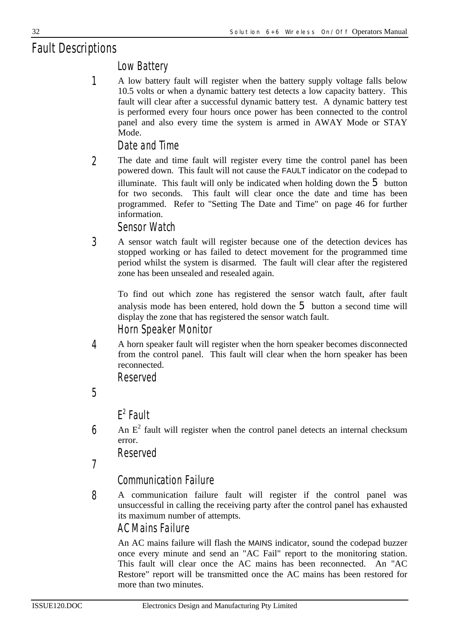# *Fault Descriptions*

### *Low Battery*

A low battery fault will register when the battery supply voltage falls below 10.5 volts or when a dynamic battery test detects a low capacity battery. This fault will clear after a successful dynamic battery test. A dynamic battery test is performed every four hours once power has been connected to the control panel and also every time the system is armed in AWAY Mode or STAY Mode. *1*

*Date and Time*

The date and time fault will register every time the control panel has been powered down. This fault will not cause the FAULT indicator on the codepad to illuminate. This fault will only be indicated when holding down the  $5$  button for two seconds. This fault will clear once the date and time has been programmed. Refer to "Setting The Date and Time" on page 46 for further information. *2*

*Sensor Watch*

A sensor watch fault will register because one of the detection devices has stopped working or has failed to detect movement for the programmed time period whilst the system is disarmed. The fault will clear after the registered zone has been unsealed and resealed again. *3*

To find out which zone has registered the sensor watch fault, after fault analysis mode has been entered, hold down the  $5$  button a second time will display the zone that has registered the sensor watch fault. *Horn Speaker Monitor*

A horn speaker fault will register when the horn speaker becomes disconnected from the control panel. This fault will clear when the horn speaker has been reconnected. *4*

*Reserved*

*5*

### *E 2 Fault*

An  $E<sup>2</sup>$  fault will register when the control panel detects an internal checksum error. *6*

*Reserved*

*7*

### *Communication Failure*

A communication failure fault will register if the control panel was unsuccessful in calling the receiving party after the control panel has exhausted its maximum number of attempts. *8*

### *AC Mains Failure*

An AC mains failure will flash the MAINS indicator, sound the codepad buzzer once every minute and send an "AC Fail" report to the monitoring station. This fault will clear once the AC mains has been reconnected. An "AC Restore" report will be transmitted once the AC mains has been restored for more than two minutes.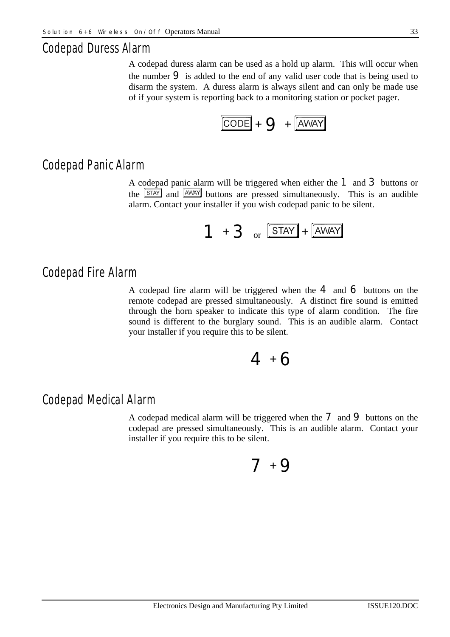#### *Codepad Duress Alarm*

A codepad duress alarm can be used as a hold up alarm. This will occur when the number  $\Theta$  is added to the end of any valid user code that is being used to disarm the system. A duress alarm is always silent and can only be made use of if your system is reporting back to a monitoring station or pocket pager.



#### *Codepad Panic Alarm*

A codepad panic alarm will be triggered when either the 1 and 3 buttons or the  $\frac{\text{STAY}}{\text{SIAN}}$  and  $\frac{\text{AWMAY}}{\text{Duttons}}$  are pressed simultaneously. This is an audible alarm. Contact your installer if you wish codepad panic to be silent.



#### *Codepad Fire Alarm*

A codepad fire alarm will be triggered when the  $4$  and  $6$  buttons on the remote codepad are pressed simultaneously. A distinct fire sound is emitted through the horn speaker to indicate this type of alarm condition. The fire sound is different to the burglary sound. This is an audible alarm. Contact your installer if you require this to be silent.

# $4 + 6$

#### *Codepad Medical Alarm*

A codepad medical alarm will be triggered when the  $\overline{7}$  and  $\overline{9}$  buttons on the codepad are pressed simultaneously. This is an audible alarm. Contact your installer if you require this to be silent.

# $7 + 9$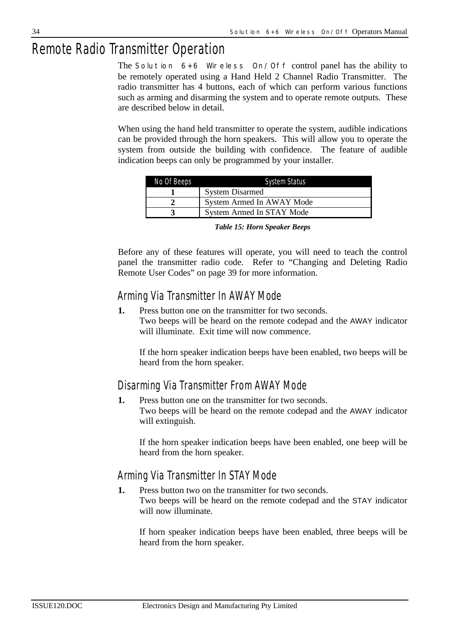# *Remote Radio Transmitter Operation*

The *Solution 6+6 Wireless On/Off* control panel has the ability to be remotely operated using a Hand Held 2 Channel Radio Transmitter. The radio transmitter has 4 buttons, each of which can perform various functions such as arming and disarming the system and to operate remote outputs. These are described below in detail.

When using the hand held transmitter to operate the system, audible indications can be provided through the horn speakers. This will allow you to operate the system from outside the building with confidence. The feature of audible indication beeps can only be programmed by your installer.

| No Of Beeps | <b>System Status</b>      |
|-------------|---------------------------|
|             | <b>System Disarmed</b>    |
|             | System Armed In AWAY Mode |
|             | System Armed In STAY Mode |

Before any of these features will operate, you will need to teach the control panel the transmitter radio code. Refer to "Changing and Deleting Radio Remote User Codes" on page 39 for more information.

#### *Arming Via Transmitter In AWAY Mode*

**1.** Press button one on the transmitter for two seconds. Two beeps will be heard on the remote codepad and the AWAY indicator will illuminate. Exit time will now commence.

If the horn speaker indication beeps have been enabled, two beeps will be heard from the horn speaker.

### *Disarming Via Transmitter From AWAY Mode*

**1.** Press button one on the transmitter for two seconds. Two beeps will be heard on the remote codepad and the AWAY indicator will extinguish.

If the horn speaker indication beeps have been enabled, one beep will be heard from the horn speaker.

### *Arming Via Transmitter In STAY Mode*

**1.** Press button two on the transmitter for two seconds.

Two beeps will be heard on the remote codepad and the STAY indicator will now illuminate.

If horn speaker indication beeps have been enabled, three beeps will be heard from the horn speaker.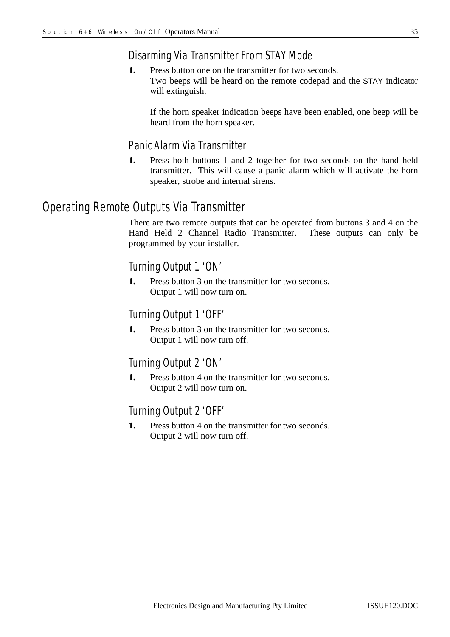### *Disarming Via Transmitter From STAY Mode*

**1.** Press button one on the transmitter for two seconds. Two beeps will be heard on the remote codepad and the STAY indicator will extinguish.

If the horn speaker indication beeps have been enabled, one beep will be heard from the horn speaker.

#### *Panic Alarm Via Transmitter*

**1.** Press both buttons 1 and 2 together for two seconds on the hand held transmitter. This will cause a panic alarm which will activate the horn speaker, strobe and internal sirens.

### *Operating Remote Outputs Via Transmitter*

There are two remote outputs that can be operated from buttons 3 and 4 on the Hand Held 2 Channel Radio Transmitter. These outputs can only be programmed by your installer.

#### *Turning Output 1 'ON'*

**1.** Press button 3 on the transmitter for two seconds. Output 1 will now turn on.

#### *Turning Output 1 'OFF'*

**1.** Press button 3 on the transmitter for two seconds. Output 1 will now turn off.

#### *Turning Output 2 'ON'*

**1.** Press button 4 on the transmitter for two seconds. Output 2 will now turn on.

#### *Turning Output 2 'OFF'*

**1.** Press button 4 on the transmitter for two seconds. Output 2 will now turn off.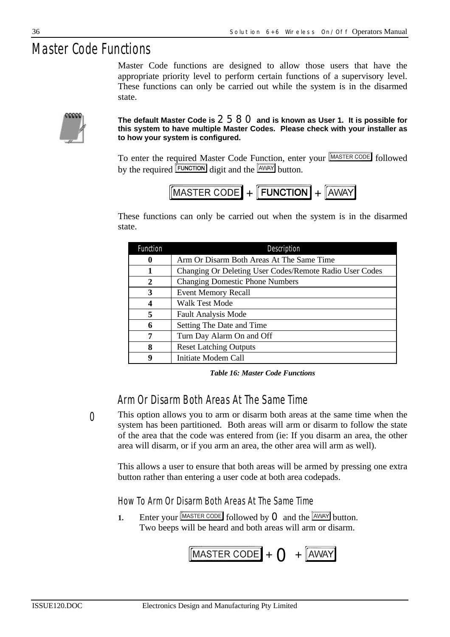# *Master Code Functions*

Master Code functions are designed to allow those users that have the appropriate priority level to perform certain functions of a supervisory level. These functions can only be carried out while the system is in the disarmed state.



#### **The default Master Code is** 2580 **and is known as User 1. It is possible for this system to have multiple Master Codes. Please check with your installer as to how your system is configured.**

To enter the required Master Code Function, enter your MASTER CODE followed by the required  $\boxed{\text{FUNCTION}}$  digit and the  $\boxed{\text{AWAY}}$  button.

$$
[MASTER\ CODE] + [FUNCTION] + [AWAY]
$$

These functions can only be carried out when the system is in the disarmed state.

| <b>Function</b> | Description                                             |
|-----------------|---------------------------------------------------------|
| 0               | Arm Or Disarm Both Areas At The Same Time               |
| 1               | Changing Or Deleting User Codes/Remote Radio User Codes |
| $\mathbf{2}$    | <b>Changing Domestic Phone Numbers</b>                  |
| 3               | <b>Event Memory Recall</b>                              |
| 4               | Walk Test Mode                                          |
| 5               | <b>Fault Analysis Mode</b>                              |
| 6               | Setting The Date and Time                               |
| 7               | Turn Day Alarm On and Off                               |
| 8               | <b>Reset Latching Outputs</b>                           |
| 9               | Initiate Modem Call                                     |

*Table 16: Master Code Functions*

### *Arm Or Disarm Both Areas At The Same Time*

*0*

This option allows you to arm or disarm both areas at the same time when the system has been partitioned. Both areas will arm or disarm to follow the state of the area that the code was entered from (ie: If you disarm an area, the other area will disarm, or if you arm an area, the other area will arm as well).

This allows a user to ensure that both areas will be armed by pressing one extra button rather than entering a user code at both area codepads.

#### *How To Arm Or Disarm Both Areas At The Same Time*

**1.** Enter your  $\boxed{\text{MASTER CODE}}$  followed by **O** and the  $\boxed{\text{AWAY}}$  button. Two beeps will be heard and both areas will arm or disarm.

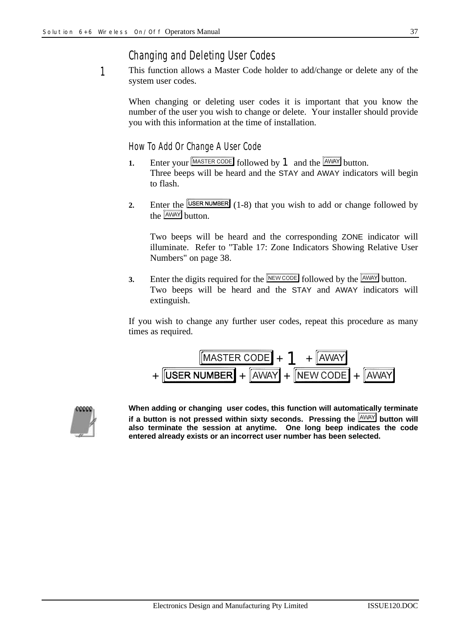### *Changing and Deleting User Codes*

This function allows a Master Code holder to add/change or delete any of the system user codes. *1*

When changing or deleting user codes it is important that you know the number of the user you wish to change or delete. Your installer should provide you with this information at the time of installation.

#### *How To Add Or Change A User Code*

- **1.** Enter your  $\boxed{\text{MASTER CODE}}$  followed by **1** and the  $\boxed{\text{AWAY}}$  button. Three beeps will be heard and the STAY and AWAY indicators will begin to flash.
- **2.** Enter the  $\boxed{\text{USER NUMBER}}$  (1-8) that you wish to add or change followed by the  $\sqrt{\text{AWAY}}$  button.

Two beeps will be heard and the corresponding ZONE indicator will illuminate. Refer to "Table 17: Zone Indicators Showing Relative User Numbers" on page 38.

**3.** Enter the digits required for the  $\boxed{\text{NEWCODE}}$  followed by the  $\boxed{\text{AWAY}}$  button. Two beeps will be heard and the STAY and AWAY indicators will extinguish.

If you wish to change any further user codes, repeat this procedure as many times as required.

$$
+\frac{\boxed{\text{MASTER CODE}} + 1 + \boxed{\text{AWAY}}}{\text{USER NUMBER}} + \boxed{\text{AWAY}} + \boxed{\text{NEW CODE}} + \boxed{\text{AWAY}}
$$



**When adding or changing user codes, this function will automatically terminate** if a button is not pressed within sixty seconds. Pressing the  $A_{\text{MAX}}$  button will **also terminate the session at anytime. One long beep indicates the code entered already exists or an incorrect user number has been selected.**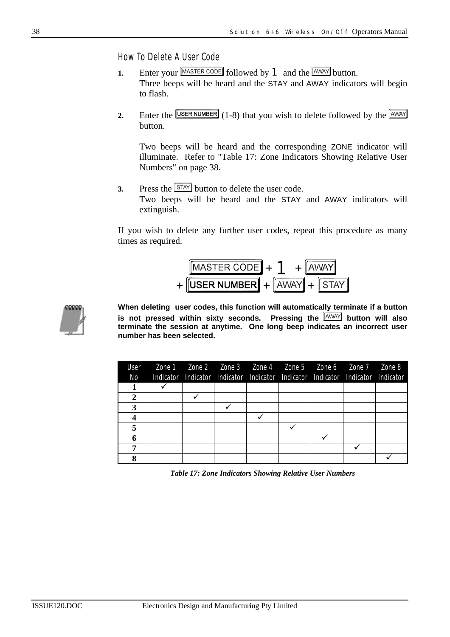*How To Delete A User Code*

- **1.** Enter your MASTER CODE followed by **1** and the AWAY button. Three beeps will be heard and the STAY and AWAY indicators will begin to flash.
- **2.** Enter the  $\boxed{\text{USER NUMBER}}$  (1-8) that you wish to delete followed by the  $\boxed{\text{AWAY}}$ button.

Two beeps will be heard and the corresponding ZONE indicator will illuminate. Refer to "Table 17: Zone Indicators Showing Relative User Numbers" on page 38**.**

**3.** Press the  $\boxed{\text{STAT}}$  button to delete the user code.

Two beeps will be heard and the STAY and AWAY indicators will extinguish.

If you wish to delete any further user codes, repeat this procedure as many times as required.





**When deleting user codes, this function will automatically terminate if a button** is not pressed within sixty seconds. Pressing the **AWAY button will also terminate the session at anytime. One long beep indicates an incorrect user number has been selected.**

| User | Zone 1 Zone 2 Zone 3 Zone 4 Zone 5 Zone 6 Zone 7 Zone 8                         |  |  |  |
|------|---------------------------------------------------------------------------------|--|--|--|
| No   | Indicator Indicator Indicator Indicator Indicator Indicator Indicator Indicator |  |  |  |
|      |                                                                                 |  |  |  |
| 2    |                                                                                 |  |  |  |
|      |                                                                                 |  |  |  |
|      |                                                                                 |  |  |  |
|      |                                                                                 |  |  |  |
|      |                                                                                 |  |  |  |
|      |                                                                                 |  |  |  |
|      |                                                                                 |  |  |  |

*Table 17: Zone Indicators Showing Relative User Numbers*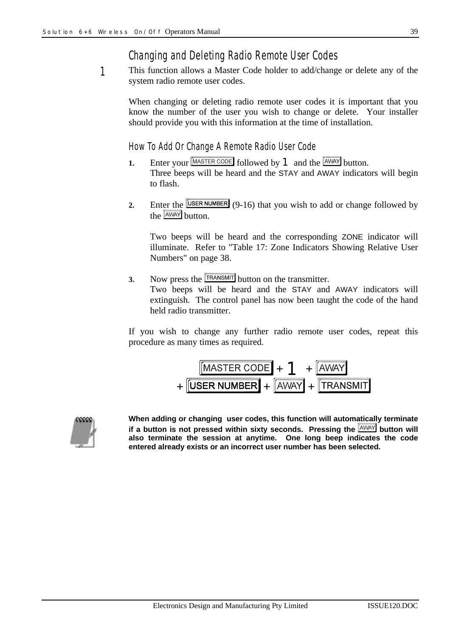## *Changing and Deleting Radio Remote User Codes*

This function allows a Master Code holder to add/change or delete any of the system radio remote user codes. *1*

When changing or deleting radio remote user codes it is important that you know the number of the user you wish to change or delete. Your installer should provide you with this information at the time of installation.

#### *How To Add Or Change A Remote Radio User Code*

- **1.** Enter your  $\boxed{\text{MASTER CODE}}$  followed by **1** and the  $\boxed{\text{AWAY}}$  button. Three beeps will be heard and the STAY and AWAY indicators will begin to flash.
- **2.** Enter the **USER NUMBER** (9-16) that you wish to add or change followed by the **AWAY** button.

Two beeps will be heard and the corresponding ZONE indicator will illuminate. Refer to "Table 17: Zone Indicators Showing Relative User Numbers" on page 38.

**3.** Now press the **TRANSMIT** button on the transmitter.

Two beeps will be heard and the STAY and AWAY indicators will extinguish. The control panel has now been taught the code of the hand held radio transmitter.

If you wish to change any further radio remote user codes, repeat this procedure as many times as required.

$$
\frac{\boxed{\text{MASTER CODE}} + 1 + \boxed{\text{AWAY}}}{\text{LISER NUMBER}} + \boxed{\text{AWAY}} + \boxed{\text{TRANSMIT}}
$$



**When adding or changing user codes, this function will automatically terminate** if a button is not pressed within sixty seconds. Pressing the **AWAY** button will **also terminate the session at anytime. One long beep indicates the code entered already exists or an incorrect user number has been selected.**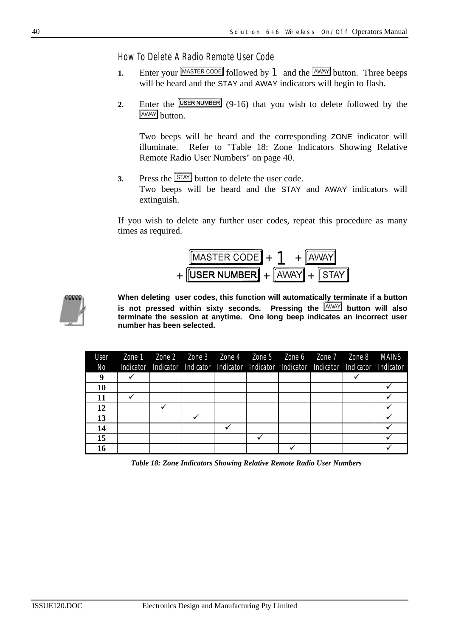*How To Delete A Radio Remote User Code*

- **1.** Enter your MASTER CODE followed by **1** and the AWAY button. Three beeps will be heard and the STAY and AWAY indicators will begin to flash.
- **2.** Enter the  $\boxed{\text{USER NUMBER}}$  (9-16) that you wish to delete followed by the **AWAY** button.

Two beeps will be heard and the corresponding ZONE indicator will illuminate. Refer to "Table 18: Zone Indicators Showing Relative Remote Radio User Numbers" on page 40.

**3.** Press the  $\overline{\text{STAT}}$  button to delete the user code. Two beeps will be heard and the STAY and AWAY indicators will extinguish.

If you wish to delete any further user codes, repeat this procedure as many times as required.





**When deleting user codes, this function will automatically terminate if a button** is not pressed within sixty seconds. Pressing the **AWAY** button will also **terminate the session at anytime. One long beep indicates an incorrect user number has been selected.**

| User<br>No | Zone 1    Zone 2    Zone 3    Zone 4    Zone 5    Zone 6    Zone 7    Zone 8    MAINS<br>Indicator Indicator Indicator Indicator Indicator Indicator Indicator Indicator Indicator |  |  |  |  |
|------------|------------------------------------------------------------------------------------------------------------------------------------------------------------------------------------|--|--|--|--|
| 9          |                                                                                                                                                                                    |  |  |  |  |
| 10         |                                                                                                                                                                                    |  |  |  |  |
| 11         |                                                                                                                                                                                    |  |  |  |  |
| 12         |                                                                                                                                                                                    |  |  |  |  |
| 13         |                                                                                                                                                                                    |  |  |  |  |
| 14         |                                                                                                                                                                                    |  |  |  |  |
| 15         |                                                                                                                                                                                    |  |  |  |  |
| 16         |                                                                                                                                                                                    |  |  |  |  |

*Table 18: Zone Indicators Showing Relative Remote Radio User Numbers*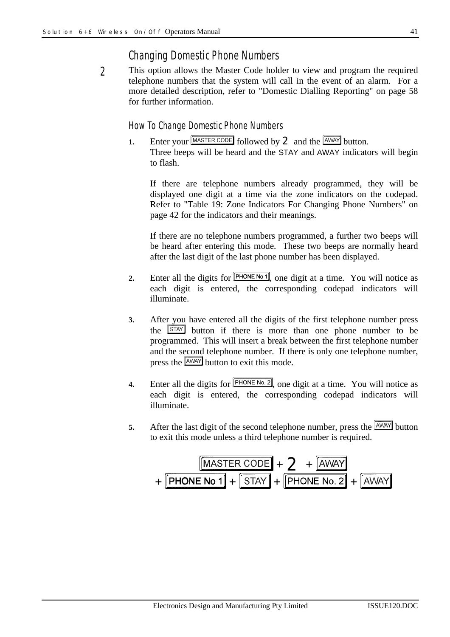## *Changing Domestic Phone Numbers*

This option allows the Master Code holder to view and program the required telephone numbers that the system will call in the event of an alarm. For a more detailed description, refer to "Domestic Dialling Reporting" on page 58 for further information. *2*

#### *How To Change Domestic Phone Numbers*

**1.** Enter your  $\boxed{\text{MASTER CODE}}$  followed by **2** and the  $\boxed{\text{AWAY}}$  button. Three beeps will be heard and the STAY and AWAY indicators will begin to flash.

If there are telephone numbers already programmed, they will be displayed one digit at a time via the zone indicators on the codepad. Refer to "Table 19: Zone Indicators For Changing Phone Numbers" on page 42 for the indicators and their meanings.

If there are no telephone numbers programmed, a further two beeps will be heard after entering this mode. These two beeps are normally heard after the last digit of the last phone number has been displayed.

- **2.** Enter all the digits for  $\boxed{\text{PHONE No 1}}$ , one digit at a time. You will notice as each digit is entered, the corresponding codepad indicators will illuminate.
- **3.** After you have entered all the digits of the first telephone number press the  $STAY$  button if there is more than one phone number to be programmed. This will insert a break between the first telephone number and the second telephone number. If there is only one telephone number, press the **AWAY** button to exit this mode.
- **4.** Enter all the digits for  $\boxed{\text{PHONE No. 2}}$ , one digit at a time. You will notice as each digit is entered, the corresponding codepad indicators will illuminate.
- **5.** After the last digit of the second telephone number, press the  $\frac{[AWAY]}{AWW}$  button to exit this mode unless a third telephone number is required.

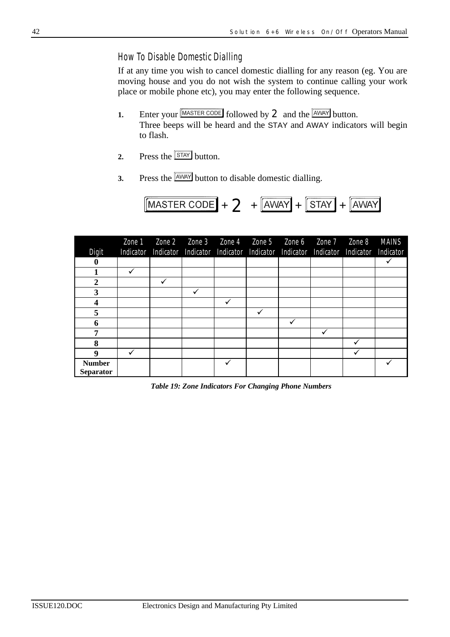#### *How To Disable Domestic Dialling*

If at any time you wish to cancel domestic dialling for any reason (eg. You are moving house and you do not wish the system to continue calling your work place or mobile phone etc), you may enter the following sequence.

- **1.** Enter your  $\boxed{\text{MASTER CODE}}$  followed by **2** and the  $\boxed{\text{AWAY}}$  button. Three beeps will be heard and the STAY and AWAY indicators will begin to flash.
- **2.** Press the  $\sqrt{\frac{STAY}{SUM}}$  button.
- **3.** Press the  $\boxed{\text{AWAY}}$  button to disable domestic dialling.

$$
[{\text{MASTER CODE}}] + 2 + [{\text{AWAY}} + [{\text{STAT}}] + [{\text{AWAY}}]
$$

| Digit                             | Zone 1<br>Indicator |   |   | Zone 2 Zone 3 Zone 4 Zone 5 Zone 6 Zone 7 Zone 8<br>Indicator Indicator Indicator Indicator Indicator Indicator Indicator |   |   | MAINS<br>Indicator |
|-----------------------------------|---------------------|---|---|---------------------------------------------------------------------------------------------------------------------------|---|---|--------------------|
| 0                                 |                     |   |   |                                                                                                                           |   |   | ✓                  |
|                                   | ✓                   |   |   |                                                                                                                           |   |   |                    |
| 2                                 |                     | ✔ |   |                                                                                                                           |   |   |                    |
| $\overline{3}$                    |                     |   | ✓ |                                                                                                                           |   |   |                    |
| 4                                 |                     |   |   |                                                                                                                           |   |   |                    |
| 5                                 |                     |   |   |                                                                                                                           |   |   |                    |
| 6                                 |                     |   |   |                                                                                                                           | ✓ |   |                    |
| 7                                 |                     |   |   |                                                                                                                           |   | v |                    |
| 8                                 |                     |   |   |                                                                                                                           |   |   |                    |
| 9                                 | ✓                   |   |   |                                                                                                                           |   |   |                    |
| <b>Number</b><br><b>Separator</b> |                     |   |   | v                                                                                                                         |   |   |                    |

*Table 19: Zone Indicators For Changing Phone Numbers*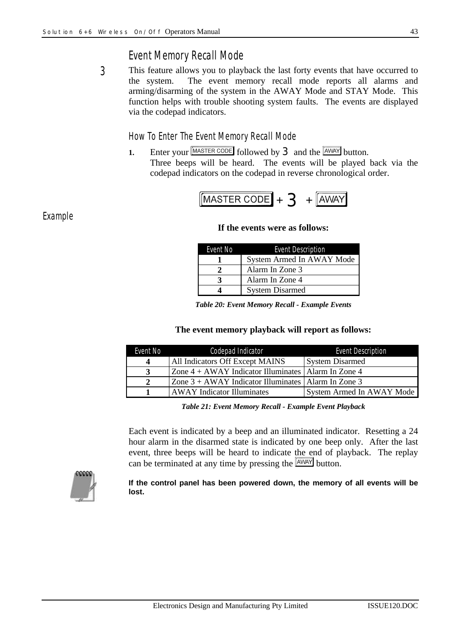## *Event Memory Recall Mode*

This feature allows you to playback the last forty events that have occurred to the system. The event memory recall mode reports all alarms and arming/disarming of the system in the AWAY Mode and STAY Mode. This function helps with trouble shooting system faults. The events are displayed via the codepad indicators. *3*

#### *How To Enter The Event Memory Recall Mode*

**1.** Enter your  $\boxed{\text{MASTER CODE}}$  followed by **3** and the  $\boxed{\text{AWAY}}$  button. Three beeps will be heard. The events will be played back via the codepad indicators on the codepad in reverse chronological order.

$$
\boxed{\text{MASTER CODE}} + 3 + \boxed{\text{AWAY}}
$$

#### **If the events were as follows:**

| Event No | <b>Event Description</b>  |
|----------|---------------------------|
|          | System Armed In AWAY Mode |
|          | Alarm In Zone 3           |
|          | Alarm In Zone 4           |
|          | <b>System Disarmed</b>    |

*Table 20: Event Memory Recall - Example Events*

#### **The event memory playback will report as follows:**

| Event No | Codepad Indicator                                       | <b>Event Description</b>  |
|----------|---------------------------------------------------------|---------------------------|
|          | All Indicators Off Except MAINS                         | <b>System Disarmed</b>    |
|          | Zone $4 + AWAY$ Indicator Illuminates   Alarm In Zone 4 |                           |
|          | Zone $3 + AWAY$ Indicator Illuminates   Alarm In Zone 3 |                           |
|          | <b>AWAY</b> Indicator Illuminates                       | System Armed In AWAY Mode |

*Table 21: Event Memory Recall - Example Event Playback*

Each event is indicated by a beep and an illuminated indicator. Resetting a 24 hour alarm in the disarmed state is indicated by one beep only. After the last event, three beeps will be heard to indicate the end of playback. The replay can be terminated at any time by pressing the  $\sqrt{\frac{AWAY}{W}}$  button.



**If the control panel has been powered down, the memory of all events will be lost.**

*Example*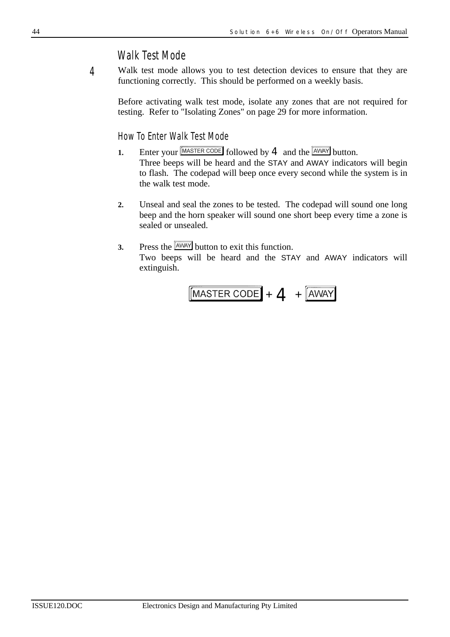### *Walk Test Mode*

Walk test mode allows you to test detection devices to ensure that they are functioning correctly. This should be performed on a weekly basis. *4*

Before activating walk test mode, isolate any zones that are not required for testing. Refer to "Isolating Zones" on page 29 for more information.

*How To Enter Walk Test Mode*

- **1.** Enter your  $\boxed{\text{MASTER CODE}}$  followed by **4** and the  $\boxed{\text{AWAY}}$  button. Three beeps will be heard and the STAY and AWAY indicators will begin to flash. The codepad will beep once every second while the system is in the walk test mode.
- **2.** Unseal and seal the zones to be tested. The codepad will sound one long beep and the horn speaker will sound one short beep every time a zone is sealed or unsealed.

## **3.** Press the  $\boxed{\text{AWAY}}$  button to exit this function.

Two beeps will be heard and the STAY and AWAY indicators will extinguish.

$$
[\text{MASTER CODE}] + 4 + [\text{AWAY}]
$$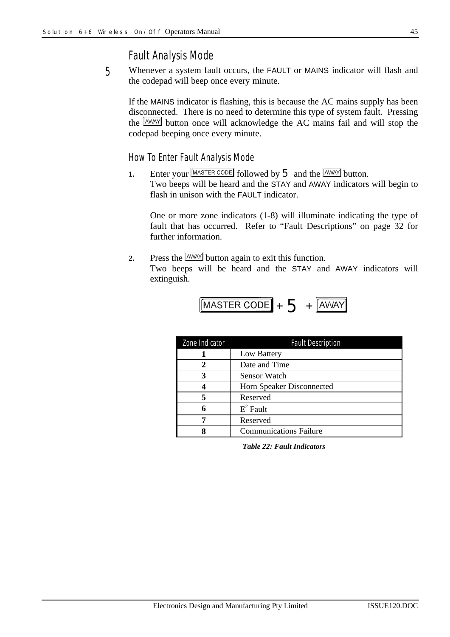#### *Fault Analysis Mode*

Whenever a system fault occurs, the FAULT or MAINS indicator will flash and the codepad will beep once every minute. *5*

If the MAINS indicator is flashing, this is because the AC mains supply has been disconnected. There is no need to determine this type of system fault. Pressing the **AWAY** button once will acknowledge the AC mains fail and will stop the codepad beeping once every minute.

#### *How To Enter Fault Analysis Mode*

**1.** Enter your  $\boxed{\text{MASTER CODE}}$  followed by  $5$  and the  $\boxed{\text{AWAY}}$  button. Two beeps will be heard and the STAY and AWAY indicators will begin to flash in unison with the FAULT indicator.

One or more zone indicators (1-8) will illuminate indicating the type of fault that has occurred. Refer to "Fault Descriptions" on page 32 for further information.

**2.** Press the  $\sqrt{\frac{AWAY}{W}}$  button again to exit this function. Two beeps will be heard and the STAY and AWAY indicators will extinguish.

$$
[\overline{\text{MASTER CODE}} + 5 + \overline{\text{AWAY}}]
$$

| Zone Indicator | <b>Fault Description</b>      |
|----------------|-------------------------------|
|                | Low Battery                   |
|                | Date and Time                 |
| 3              | <b>Sensor Watch</b>           |
|                | Horn Speaker Disconnected     |
|                | Reserved                      |
|                | $E^2$ Fault                   |
|                | Reserved                      |
|                | <b>Communications Failure</b> |

*Table 22: Fault Indicators*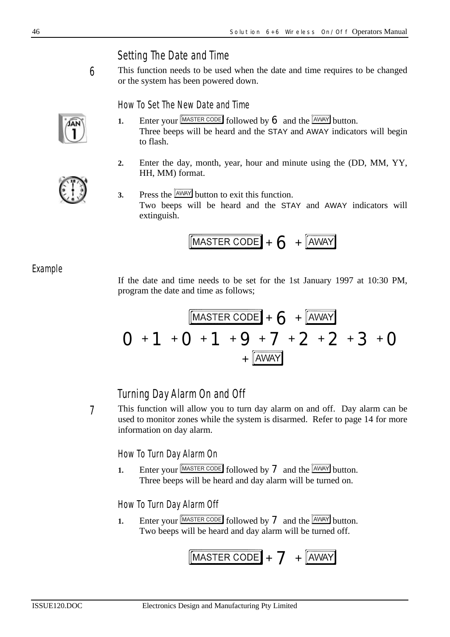## *Setting The Date and Time*

This function needs to be used when the date and time requires to be changed or the system has been powered down.

*How To Set The New Date and Time*

- **1.** Enter your  $\boxed{\text{MASTER CODE}}$  followed by 6 and the  $\boxed{\text{AWAY}}$  button. Three beeps will be heard and the STAY and AWAY indicators will begin to flash.
- **2.** Enter the day, month, year, hour and minute using the (DD, MM, YY, HH, MM) format.
- **3.** Press the  $\frac{A W A Y}{B}$  button to exit this function. Two beeps will be heard and the STAY and AWAY indicators will extinguish.

$$
[\text{MASTER CODE}] + \bigodot + [\text{AWAY}]
$$

*Example*

If the date and time needs to be set for the 1st January 1997 at 10:30 PM, program the date and time as follows;

$$
O+1+O+1+9+7+2+2+3+O
$$

## *Turning Day Alarm On and Off*

This function will allow you to turn day alarm on and off. Day alarm can be used to monitor zones while the system is disarmed. Refer to page 14 for more information on day alarm.

*How To Turn Day Alarm On*

**1.** Enter your  $\boxed{\text{MASTER CODE}}$  followed by **7** and the  $\boxed{\text{AWAY}}$  button. Three beeps will be heard and day alarm will be turned on.

### *How To Turn Day Alarm Off*

**1.** Enter your  $\boxed{\text{MASTER CODE}}$  followed by **7** and the  $\boxed{\text{AWAY}}$  button. Two beeps will be heard and day alarm will be turned off.

$$
[MASTER\,CODE] + 7 + [AWAY]
$$



*7*

*6*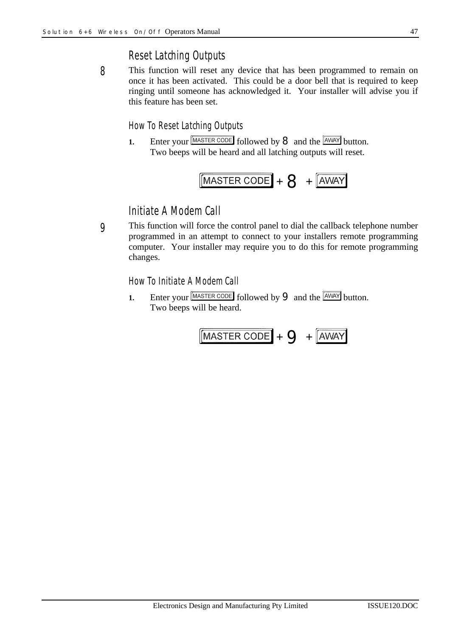## *Reset Latching Outputs*

This function will reset any device that has been programmed to remain on once it has been activated. This could be a door bell that is required to keep ringing until someone has acknowledged it. Your installer will advise you if this feature has been set. *8*

#### *How To Reset Latching Outputs*

**1.** Enter your  $\boxed{\text{MASTER CODE}}$  followed by **8** and the  $\boxed{\text{AWAY}}$  button. Two beeps will be heard and all latching outputs will reset.



## *Initiate A Modem Call*

This function will force the control panel to dial the callback telephone number programmed in an attempt to connect to your installers remote programming computer. Your installer may require you to do this for remote programming changes. *9*

*How To Initiate A Modem Call*

**1.** Enter your  $\boxed{\text{MASTER CODE}}$  followed by **9** and the  $\boxed{\text{AWAY}}$  button. Two beeps will be heard.

$$
\boxed{\text{MASTER CODE}} + \text{Q} + \boxed{\text{AWAY}}
$$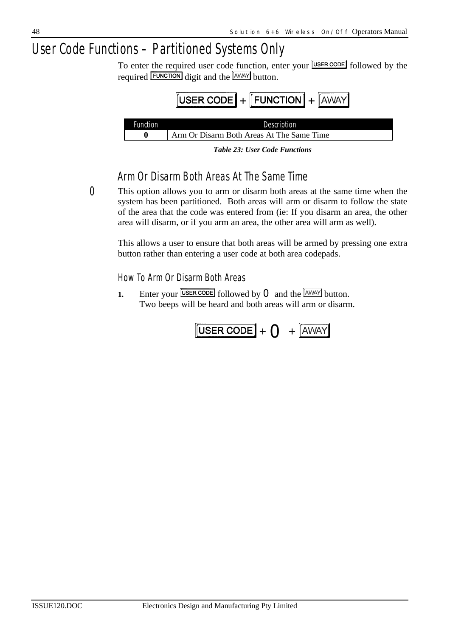## *User Code Functions – Partitioned Systems Only*

To enter the required user code function, enter your **USER CODE** followed by the required **FUNCTION** digit and the **AWAY** button.



*Table 23: User Code Functions*

## *Arm Or Disarm Both Areas At The Same Time*

*0*

This option allows you to arm or disarm both areas at the same time when the system has been partitioned. Both areas will arm or disarm to follow the state of the area that the code was entered from (ie: If you disarm an area, the other area will disarm, or if you arm an area, the other area will arm as well).

This allows a user to ensure that both areas will be armed by pressing one extra button rather than entering a user code at both area codepads.

*How To Arm Or Disarm Both Areas*

**1.** Enter your  $\overline{\text{USER CODE}}$  followed by **O** and the  $\overline{\text{AWAY}}$  button. Two beeps will be heard and both areas will arm or disarm.

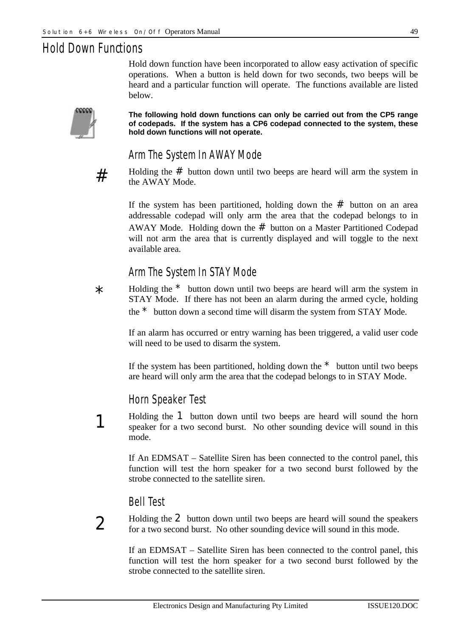## *Hold Down Functions*

Hold down function have been incorporated to allow easy activation of specific operations. When a button is held down for two seconds, two beeps will be heard and a particular function will operate. The functions available are listed below.



**The following hold down functions can only be carried out from the CP5 range of codepads. If the system has a CP6 codepad connected to the system, these hold down functions will not operate.**

## *Arm The System In AWAY Mode*



Holding the  $#$  button down until two beeps are heard will arm the system in the AWAY Mode.

If the system has been partitioned, holding down the  $#$  button on an area addressable codepad will only arm the area that the codepad belongs to in AWAY Mode. Holding down the  $#$  button on a Master Partitioned Codepad will not arm the area that is currently displayed and will toggle to the next available area.

### *Arm The System In STAY Mode*

Holding the  $*$  button down until two beeps are heard will arm the system in STAY Mode. If there has not been an alarm during the armed cycle, holding the \* button down a second time will disarm the system from STAY Mode. \*

If an alarm has occurred or entry warning has been triggered, a valid user code will need to be used to disarm the system.

If the system has been partitioned, holding down the  $*$  button until two beeps are heard will only arm the area that the codepad belongs to in STAY Mode.

### *Horn Speaker Test*

Holding the 1 button down until two beeps are heard will sound the horn speaker for a two second burst. No other sounding device will sound in this mode.

If An EDMSAT – Satellite Siren has been connected to the control panel, this function will test the horn speaker for a two second burst followed by the strobe connected to the satellite siren.

#### *Bell Test*

## $\boldsymbol{\mathcal{V}}$

1

Holding the 2 button down until two beeps are heard will sound the speakers for a two second burst. No other sounding device will sound in this mode.

If an EDMSAT – Satellite Siren has been connected to the control panel, this function will test the horn speaker for a two second burst followed by the strobe connected to the satellite siren.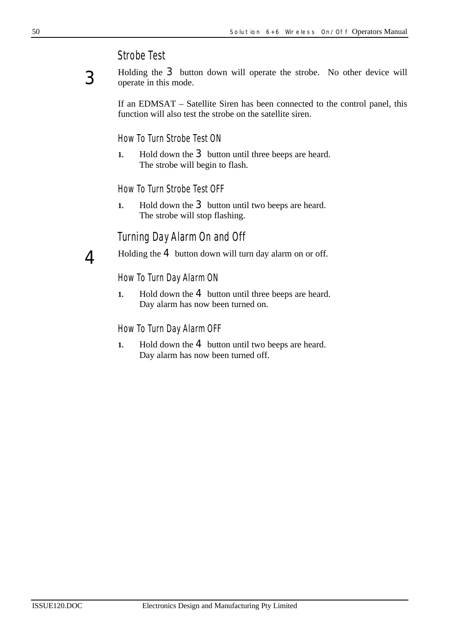### *Strobe Test*



 $\Lambda$ 

Holding the 3 button down will operate the strobe. No other device will operate in this mode.

If an EDMSAT – Satellite Siren has been connected to the control panel, this function will also test the strobe on the satellite siren.

*How To Turn Strobe Test ON*

**1.** Hold down the **3** button until three beeps are heard. The strobe will begin to flash.

*How To Turn Strobe Test OFF*

**1.** Hold down the **3** button until two beeps are heard. The strobe will stop flashing.

#### *Turning Day Alarm On and Off*

Holding the  $4$  button down will turn day alarm on or off.

#### *How To Turn Day Alarm ON*

**1.** Hold down the **4** button until three beeps are heard. Day alarm has now been turned on.

#### *How To Turn Day Alarm OFF*

**1.** Hold down the **4** button until two beeps are heard. Day alarm has now been turned off.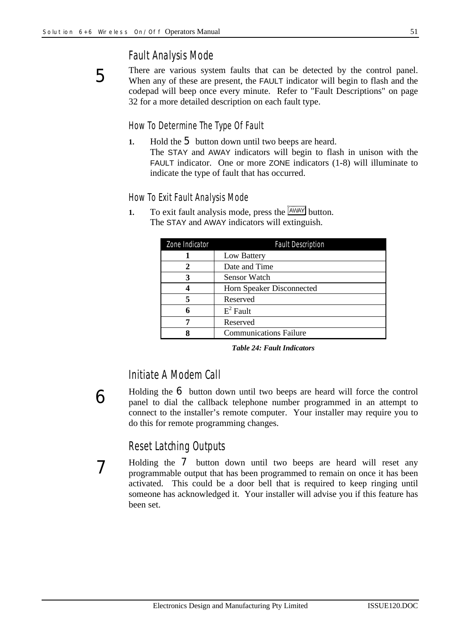5

6

7

## *Fault Analysis Mode*

There are various system faults that can be detected by the control panel. When any of these are present, the FAULT indicator will begin to flash and the codepad will beep once every minute. Refer to "Fault Descriptions" on page 32 for a more detailed description on each fault type.

#### *How To Determine The Type Of Fault*

**1.** Hold the 5 button down until two beeps are heard. The STAY and AWAY indicators will begin to flash in unison with the FAULT indicator. One or more ZONE indicators (1-8) will illuminate to indicate the type of fault that has occurred.

#### *How To Exit Fault Analysis Mode*

**1.** To exit fault analysis mode, press the  $\frac{[AWAY]}{[AWAY]}$  button. The STAY and AWAY indicators will extinguish.

| Zone Indicator | <b>Fault Description</b>      |
|----------------|-------------------------------|
|                | Low Battery                   |
| 2              | Date and Time                 |
|                | <b>Sensor Watch</b>           |
|                | Horn Speaker Disconnected     |
|                | Reserved                      |
| 6              | $E^2$ Fault                   |
|                | Reserved                      |
|                | <b>Communications Failure</b> |

*Table 24: Fault Indicators*

## *Initiate A Modem Call*

Holding the  $\epsilon$  button down until two beeps are heard will force the control panel to dial the callback telephone number programmed in an attempt to connect to the installer's remote computer. Your installer may require you to do this for remote programming changes.

## *Reset Latching Outputs*

Holding the 7 button down until two beeps are heard will reset any programmable output that has been programmed to remain on once it has been activated. This could be a door bell that is required to keep ringing until someone has acknowledged it. Your installer will advise you if this feature has been set.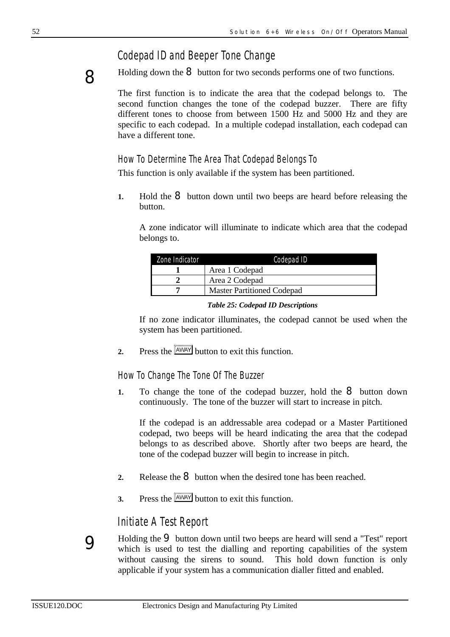## *Codepad ID and Beeper Tone Change*



Holding down the  $\bf{8}$  button for two seconds performs one of two functions.

The first function is to indicate the area that the codepad belongs to. The second function changes the tone of the codepad buzzer. There are fifty different tones to choose from between 1500 Hz and 5000 Hz and they are specific to each codepad. In a multiple codepad installation, each codepad can have a different tone.

#### *How To Determine The Area That Codepad Belongs To*

This function is only available if the system has been partitioned.

**1.** Hold the **8** button down until two beeps are heard before releasing the button.

A zone indicator will illuminate to indicate which area that the codepad belongs to.

| Zone Indicator | Codepad ID                        |
|----------------|-----------------------------------|
|                | Area 1 Codepad                    |
|                | Area 2 Codepad                    |
|                | <b>Master Partitioned Codepad</b> |

#### *Table 25: Codepad ID Descriptions*

If no zone indicator illuminates, the codepad cannot be used when the system has been partitioned.

**2.** Press the  $\sqrt{\frac{AWAY}{W}}$  button to exit this function.

*How To Change The Tone Of The Buzzer*

**1.** To change the tone of the codepad buzzer, hold the **8** button down continuously. The tone of the buzzer will start to increase in pitch.

If the codepad is an addressable area codepad or a Master Partitioned codepad, two beeps will be heard indicating the area that the codepad belongs to as described above. Shortly after two beeps are heard, the tone of the codepad buzzer will begin to increase in pitch.

- 2. Release the **8** button when the desired tone has been reached.
- **3.** Press the  $\sqrt{\frac{AWAY}{W}}$  button to exit this function.

## *Initiate A Test Report*

Holding the 9 button down until two beeps are heard will send a "Test" report which is used to test the dialling and reporting capabilities of the system without causing the sirens to sound. This hold down function is only applicable if your system has a communication dialler fitted and enabled.

9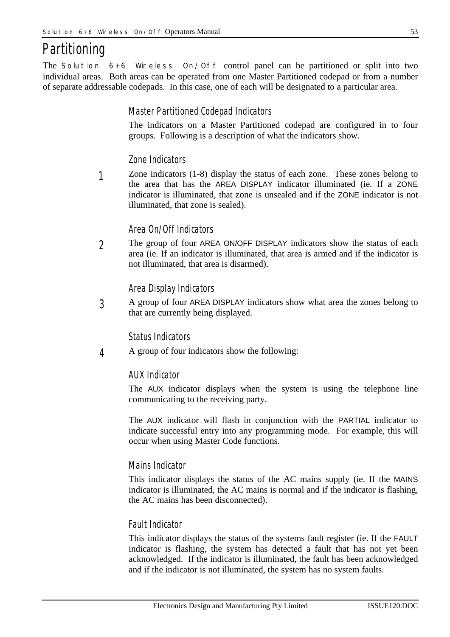## *Partitioning*

The *Solution 6+6 Wireless On/Off* control panel can be partitioned or split into two individual areas. Both areas can be operated from one Master Partitioned codepad or from a number of separate addressable codepads. In this case, one of each will be designated to a particular area.

#### *Master Partitioned Codepad Indicators*

The indicators on a Master Partitioned codepad are configured in to four groups. Following is a description of what the indicators show.

#### *Zone Indicators*

Zone indicators (1-8) display the status of each zone. These zones belong to the area that has the AREA DISPLAY indicator illuminated (ie. If a ZONE indicator is illuminated, that zone is unsealed and if the ZONE indicator is not illuminated, that zone is sealed). *1*

#### *Area On/Off Indicators*

The group of four AREA ON/OFF DISPLAY indicators show the status of each area (ie. If an indicator is illuminated, that area is armed and if the indicator is not illuminated, that area is disarmed). *2*

#### *Area Display Indicators*

A group of four AREA DISPLAY indicators show what area the zones belong to that are currently being displayed. *3*

#### *Status Indicators*

A group of four indicators show the following: *4*

#### *AUX Indicator*

The AUX indicator displays when the system is using the telephone line communicating to the receiving party.

The AUX indicator will flash in conjunction with the PARTIAL indicator to indicate successful entry into any programming mode. For example, this will occur when using Master Code functions.

#### *Mains Indicator*

This indicator displays the status of the AC mains supply (ie. If the MAINS indicator is illuminated, the AC mains is normal and if the indicator is flashing, the AC mains has been disconnected).

#### *Fault Indicator*

This indicator displays the status of the systems fault register (ie. If the FAULT indicator is flashing, the system has detected a fault that has not yet been acknowledged. If the indicator is illuminated, the fault has been acknowledged and if the indicator is not illuminated, the system has no system faults.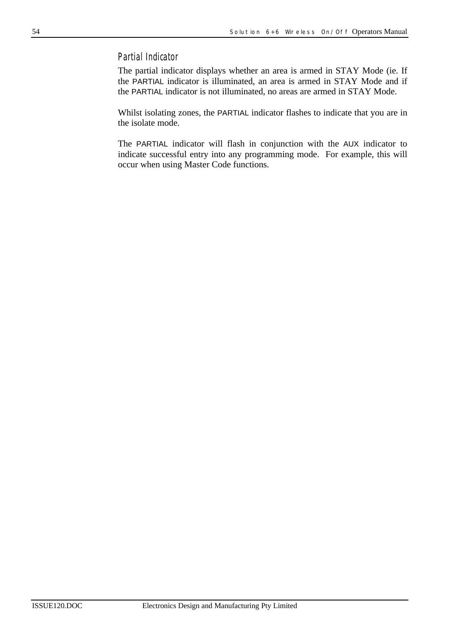#### *Partial Indicator*

The partial indicator displays whether an area is armed in STAY Mode (ie. If the PARTIAL indicator is illuminated, an area is armed in STAY Mode and if the PARTIAL indicator is not illuminated, no areas are armed in STAY Mode.

Whilst isolating zones, the PARTIAL indicator flashes to indicate that you are in the isolate mode.

The PARTIAL indicator will flash in conjunction with the AUX indicator to indicate successful entry into any programming mode. For example, this will occur when using Master Code functions.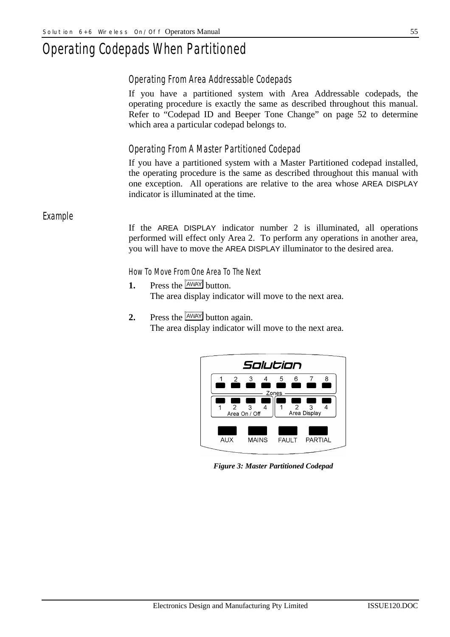## *Operating Codepads When Partitioned*

#### *Operating From Area Addressable Codepads*

If you have a partitioned system with Area Addressable codepads, the operating procedure is exactly the same as described throughout this manual. Refer to "Codepad ID and Beeper Tone Change" on page 52 to determine which area a particular codepad belongs to.

### *Operating From A Master Partitioned Codepad*

If you have a partitioned system with a Master Partitioned codepad installed, the operating procedure is the same as described throughout this manual with one exception. All operations are relative to the area whose AREA DISPLAY indicator is illuminated at the time.

*Example*

If the AREA DISPLAY indicator number 2 is illuminated, all operations performed will effect only Area 2. To perform any operations in another area, you will have to move the AREA DISPLAY illuminator to the desired area.

*How To Move From One Area To The Next*

- **1.** Press the  $\sqrt{\frac{AWAY}{W}}$  button. The area display indicator will move to the next area.
- **2.** Press the  $\sqrt{\frac{\text{AWAY}}{\text{H}}}}$  button again. The area display indicator will move to the next area.



*Figure 3: Master Partitioned Codepad*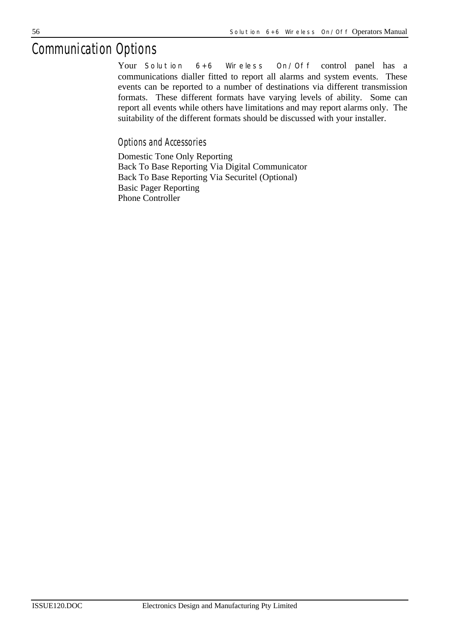## *Communication Options*

Your *Solution 6+6 Wireless On/Off* control panel has a communications dialler fitted to report all alarms and system events. These events can be reported to a number of destinations via different transmission formats. These different formats have varying levels of ability. Some can report all events while others have limitations and may report alarms only. The suitability of the different formats should be discussed with your installer.

*Options and Accessories*

Domestic Tone Only Reporting Back To Base Reporting Via Digital Communicator Back To Base Reporting Via Securitel (Optional) Basic Pager Reporting Phone Controller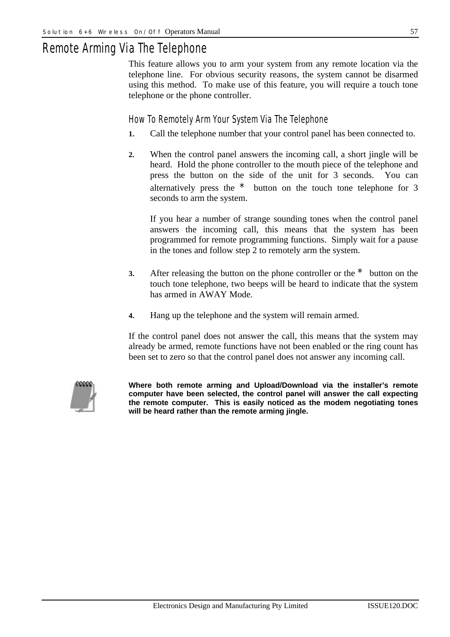## *Remote Arming Via The Telephone*

This feature allows you to arm your system from any remote location via the telephone line. For obvious security reasons, the system cannot be disarmed using this method. To make use of this feature, you will require a touch tone telephone or the phone controller.

#### *How To Remotely Arm Your System Via The Telephone*

- **1.** Call the telephone number that your control panel has been connected to.
- **2.** When the control panel answers the incoming call, a short jingle will be heard. Hold the phone controller to the mouth piece of the telephone and press the button on the side of the unit for 3 seconds. You can alternatively press the  $\star$  button on the touch tone telephone for 3 seconds to arm the system.

If you hear a number of strange sounding tones when the control panel answers the incoming call, this means that the system has been programmed for remote programming functions. Simply wait for a pause in the tones and follow step 2 to remotely arm the system.

- **3.** After releasing the button on the phone controller or the \* button on the touch tone telephone, two beeps will be heard to indicate that the system has armed in AWAY Mode.
- **4.** Hang up the telephone and the system will remain armed.

If the control panel does not answer the call, this means that the system may already be armed, remote functions have not been enabled or the ring count has been set to zero so that the control panel does not answer any incoming call.



**Where both remote arming and Upload/Download via the installer's remote computer have been selected, the control panel will answer the call expecting the remote computer. This is easily noticed as the modem negotiating tones will be heard rather than the remote arming jingle.**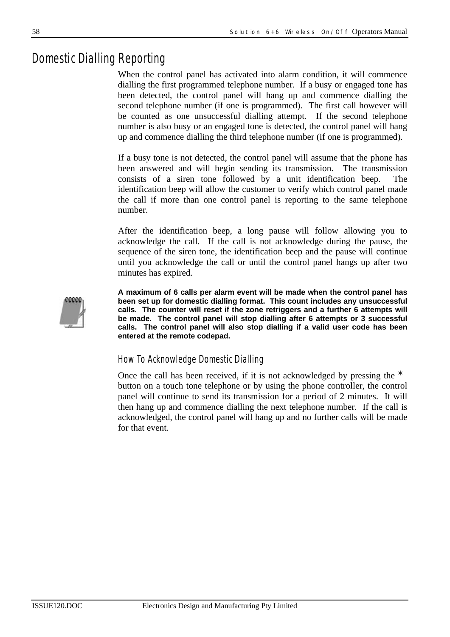## *Domestic Dialling Reporting*

When the control panel has activated into alarm condition, it will commence dialling the first programmed telephone number. If a busy or engaged tone has been detected, the control panel will hang up and commence dialling the second telephone number (if one is programmed). The first call however will be counted as one unsuccessful dialling attempt. If the second telephone number is also busy or an engaged tone is detected, the control panel will hang up and commence dialling the third telephone number (if one is programmed).

If a busy tone is not detected, the control panel will assume that the phone has been answered and will begin sending its transmission. The transmission consists of a siren tone followed by a unit identification beep. The identification beep will allow the customer to verify which control panel made the call if more than one control panel is reporting to the same telephone number.

After the identification beep, a long pause will follow allowing you to acknowledge the call. If the call is not acknowledge during the pause, the sequence of the siren tone, the identification beep and the pause will continue until you acknowledge the call or until the control panel hangs up after two minutes has expired.



**A maximum of 6 calls per alarm event will be made when the control panel has been set up for domestic dialling format. This count includes any unsuccessful calls. The counter will reset if the zone retriggers and a further 6 attempts will be made. The control panel will stop dialling after 6 attempts or 3 successful calls. The control panel will also stop dialling if a valid user code has been entered at the remote codepad.**

### *How To Acknowledge Domestic Dialling*

Once the call has been received, if it is not acknowledged by pressing the \* button on a touch tone telephone or by using the phone controller, the control panel will continue to send its transmission for a period of 2 minutes. It will then hang up and commence dialling the next telephone number. If the call is acknowledged, the control panel will hang up and no further calls will be made for that event.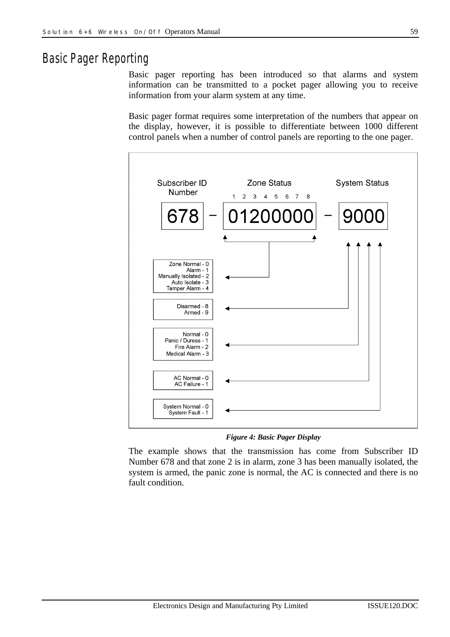## *Basic Pager Reporting*

Basic pager reporting has been introduced so that alarms and system information can be transmitted to a pocket pager allowing you to receive information from your alarm system at any time.

Basic pager format requires some interpretation of the numbers that appear on the display, however, it is possible to differentiate between 1000 different control panels when a number of control panels are reporting to the one pager.



*Figure 4: Basic Pager Display*

The example shows that the transmission has come from Subscriber ID Number 678 and that zone 2 is in alarm, zone 3 has been manually isolated, the system is armed, the panic zone is normal, the AC is connected and there is no fault condition.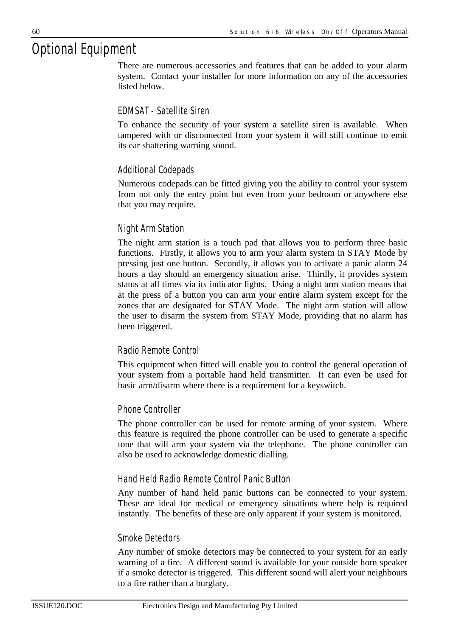## *Optional Equipment*

There are numerous accessories and features that can be added to your alarm system. Contact your installer for more information on any of the accessories listed below.

#### *EDMSAT - Satellite Siren*

To enhance the security of your system a satellite siren is available. When tampered with or disconnected from your system it will still continue to emit its ear shattering warning sound.

#### *Additional Codepads*

Numerous codepads can be fitted giving you the ability to control your system from not only the entry point but even from your bedroom or anywhere else that you may require.

#### *Night Arm Station*

The night arm station is a touch pad that allows you to perform three basic functions. Firstly, it allows you to arm your alarm system in STAY Mode by pressing just one button. Secondly, it allows you to activate a panic alarm 24 hours a day should an emergency situation arise. Thirdly, it provides system status at all times via its indicator lights. Using a night arm station means that at the press of a button you can arm your entire alarm system except for the zones that are designated for STAY Mode. The night arm station will allow the user to disarm the system from STAY Mode, providing that no alarm has been triggered.

#### *Radio Remote Control*

This equipment when fitted will enable you to control the general operation of your system from a portable hand held transmitter. It can even be used for basic arm/disarm where there is a requirement for a keyswitch.

#### *Phone Controller*

The phone controller can be used for remote arming of your system. Where this feature is required the phone controller can be used to generate a specific tone that will arm your system via the telephone. The phone controller can also be used to acknowledge domestic dialling.

#### *Hand Held Radio Remote Control Panic Button*

Any number of hand held panic buttons can be connected to your system. These are ideal for medical or emergency situations where help is required instantly. The benefits of these are only apparent if your system is monitored.

#### *Smoke Detectors*

Any number of smoke detectors may be connected to your system for an early warning of a fire. A different sound is available for your outside horn speaker if a smoke detector is triggered. This different sound will alert your neighbours to a fire rather than a burglary.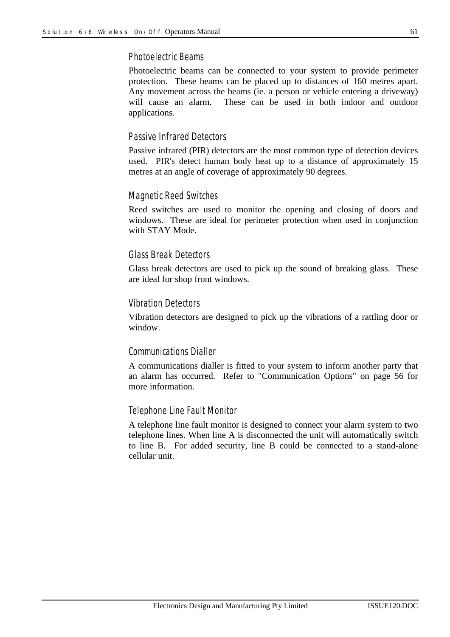#### *Photoelectric Beams*

Photoelectric beams can be connected to your system to provide perimeter protection. These beams can be placed up to distances of 160 metres apart. Any movement across the beams (ie. a person or vehicle entering a driveway) will cause an alarm. These can be used in both indoor and outdoor applications.

#### *Passive Infrared Detectors*

Passive infrared (PIR) detectors are the most common type of detection devices used. PIR's detect human body heat up to a distance of approximately 15 metres at an angle of coverage of approximately 90 degrees.

#### *Magnetic Reed Switches*

Reed switches are used to monitor the opening and closing of doors and windows. These are ideal for perimeter protection when used in conjunction with STAY Mode.

#### *Glass Break Detectors*

Glass break detectors are used to pick up the sound of breaking glass. These are ideal for shop front windows.

#### *Vibration Detectors*

Vibration detectors are designed to pick up the vibrations of a rattling door or window.

#### *Communications Dialler*

A communications dialler is fitted to your system to inform another party that an alarm has occurred. Refer to "Communication Options" on page 56 for more information.

#### *Telephone Line Fault Monitor*

A telephone line fault monitor is designed to connect your alarm system to two telephone lines. When line A is disconnected the unit will automatically switch to line B. For added security, line B could be connected to a stand-alone cellular unit.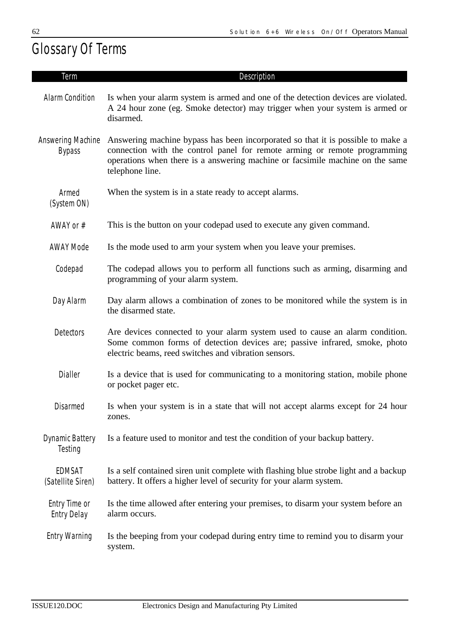## *Glossary Of Terms*

| Term                                | Description                                                                                                                                                                                                                                                      |
|-------------------------------------|------------------------------------------------------------------------------------------------------------------------------------------------------------------------------------------------------------------------------------------------------------------|
| Alarm Condition                     | Is when your alarm system is armed and one of the detection devices are violated.<br>A 24 hour zone (eg. Smoke detector) may trigger when your system is armed or<br>disarmed.                                                                                   |
| Answering Machine<br><b>Bypass</b>  | Answering machine bypass has been incorporated so that it is possible to make a<br>connection with the control panel for remote arming or remote programming<br>operations when there is a answering machine or facsimile machine on the same<br>telephone line. |
| Armed<br>(System ON)                | When the system is in a state ready to accept alarms.                                                                                                                                                                                                            |
| AWAY or $#$                         | This is the button on your codepad used to execute any given command.                                                                                                                                                                                            |
| <b>AWAY Mode</b>                    | Is the mode used to arm your system when you leave your premises.                                                                                                                                                                                                |
| Codepad                             | The codepad allows you to perform all functions such as arming, disarming and<br>programming of your alarm system.                                                                                                                                               |
| Day Alarm                           | Day alarm allows a combination of zones to be monitored while the system is in<br>the disarmed state.                                                                                                                                                            |
| <b>Detectors</b>                    | Are devices connected to your alarm system used to cause an alarm condition.<br>Some common forms of detection devices are; passive infrared, smoke, photo<br>electric beams, reed switches and vibration sensors.                                               |
| Dialler                             | Is a device that is used for communicating to a monitoring station, mobile phone<br>or pocket pager etc.                                                                                                                                                         |
| <b>Disarmed</b>                     | Is when your system is in a state that will not accept alarms except for 24 hour<br>zones.                                                                                                                                                                       |
| <b>Dynamic Battery</b><br>Testing   | Is a feature used to monitor and test the condition of your backup battery.                                                                                                                                                                                      |
| EDMSAT<br>(Satellite Siren)         | Is a self contained siren unit complete with flashing blue strobe light and a backup<br>battery. It offers a higher level of security for your alarm system.                                                                                                     |
| Entry Time or<br><b>Entry Delay</b> | Is the time allowed after entering your premises, to disarm your system before an<br>alarm occurs.                                                                                                                                                               |
| <b>Entry Warning</b>                | Is the beeping from your codepad during entry time to remind you to disarm your<br>system.                                                                                                                                                                       |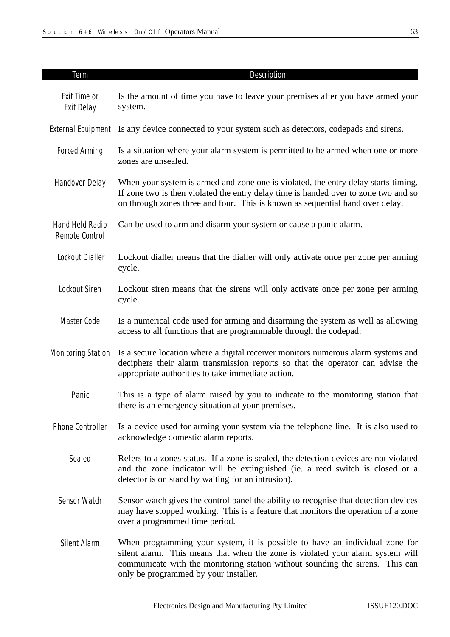| <b>Term</b>                       | Description                                                                                                                                                                                                                                                                             |
|-----------------------------------|-----------------------------------------------------------------------------------------------------------------------------------------------------------------------------------------------------------------------------------------------------------------------------------------|
| Exit Time or<br>Exit Delay        | Is the amount of time you have to leave your premises after you have armed your<br>system.                                                                                                                                                                                              |
|                                   | External Equipment Is any device connected to your system such as detectors, codepads and sirens.                                                                                                                                                                                       |
| <b>Forced Arming</b>              | Is a situation where your alarm system is permitted to be armed when one or more<br>zones are unsealed.                                                                                                                                                                                 |
| Handover Delay                    | When your system is armed and zone one is violated, the entry delay starts timing.<br>If zone two is then violated the entry delay time is handed over to zone two and so<br>on through zones three and four. This is known as sequential hand over delay.                              |
| Hand Held Radio<br>Remote Control | Can be used to arm and disarm your system or cause a panic alarm.                                                                                                                                                                                                                       |
| Lockout Dialler                   | Lockout dialler means that the dialler will only activate once per zone per arming<br>cycle.                                                                                                                                                                                            |
| Lockout Siren                     | Lockout siren means that the sirens will only activate once per zone per arming<br>cycle.                                                                                                                                                                                               |
| Master Code                       | Is a numerical code used for arming and disarming the system as well as allowing<br>access to all functions that are programmable through the codepad.                                                                                                                                  |
| <b>Monitoring Station</b>         | Is a secure location where a digital receiver monitors numerous alarm systems and<br>deciphers their alarm transmission reports so that the operator can advise the<br>appropriate authorities to take immediate action.                                                                |
| Panic                             | This is a type of alarm raised by you to indicate to the monitoring station that<br>there is an emergency situation at your premises.                                                                                                                                                   |
| Phone Controller                  | Is a device used for arming your system via the telephone line. It is also used to<br>acknowledge domestic alarm reports.                                                                                                                                                               |
| Sealed                            | Refers to a zones status. If a zone is sealed, the detection devices are not violated<br>and the zone indicator will be extinguished (ie. a reed switch is closed or a<br>detector is on stand by waiting for an intrusion).                                                            |
| Sensor Watch                      | Sensor watch gives the control panel the ability to recognise that detection devices<br>may have stopped working. This is a feature that monitors the operation of a zone<br>over a programmed time period.                                                                             |
| Silent Alarm                      | When programming your system, it is possible to have an individual zone for<br>silent alarm. This means that when the zone is violated your alarm system will<br>communicate with the monitoring station without sounding the sirens. This can<br>only be programmed by your installer. |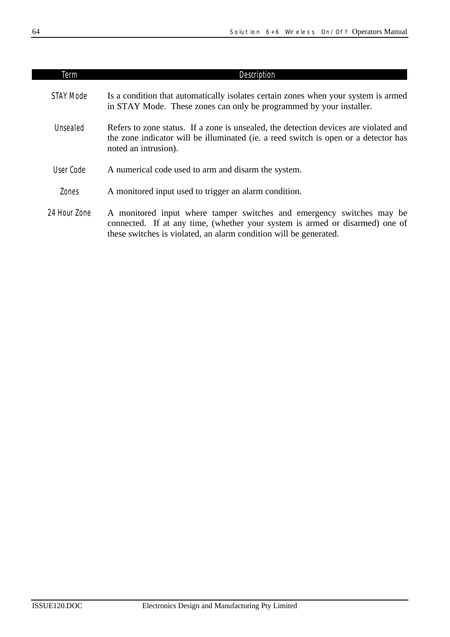| Term         | <b>Description</b>                                                                                                                                                                                                         |
|--------------|----------------------------------------------------------------------------------------------------------------------------------------------------------------------------------------------------------------------------|
| STAY Mode    | Is a condition that automatically isolates certain zones when your system is armed<br>in STAY Mode. These zones can only be programmed by your installer.                                                                  |
| Unsealed     | Refers to zone status. If a zone is unsealed, the detection devices are violated and<br>the zone indicator will be illuminated (ie. a reed switch is open or a detector has<br>noted an intrusion).                        |
| User Code    | A numerical code used to arm and disarm the system.                                                                                                                                                                        |
| Zones        | A monitored input used to trigger an alarm condition.                                                                                                                                                                      |
| 24 Hour Zone | A monitored input where tamper switches and emergency switches may be<br>connected. If at any time, (whether your system is armed or disarmed) one of<br>these switches is violated, an alarm condition will be generated. |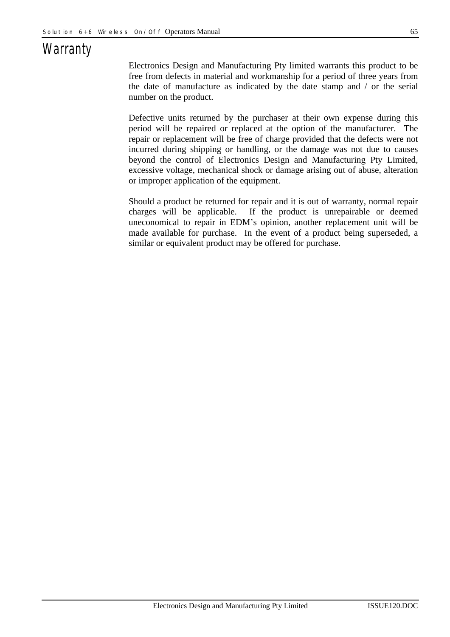## *Warranty*

Electronics Design and Manufacturing Pty limited warrants this product to be free from defects in material and workmanship for a period of three years from the date of manufacture as indicated by the date stamp and / or the serial number on the product.

Defective units returned by the purchaser at their own expense during this period will be repaired or replaced at the option of the manufacturer. The repair or replacement will be free of charge provided that the defects were not incurred during shipping or handling, or the damage was not due to causes beyond the control of Electronics Design and Manufacturing Pty Limited, excessive voltage, mechanical shock or damage arising out of abuse, alteration or improper application of the equipment.

Should a product be returned for repair and it is out of warranty, normal repair charges will be applicable. If the product is unrepairable or deemed uneconomical to repair in EDM's opinion, another replacement unit will be made available for purchase. In the event of a product being superseded, a similar or equivalent product may be offered for purchase.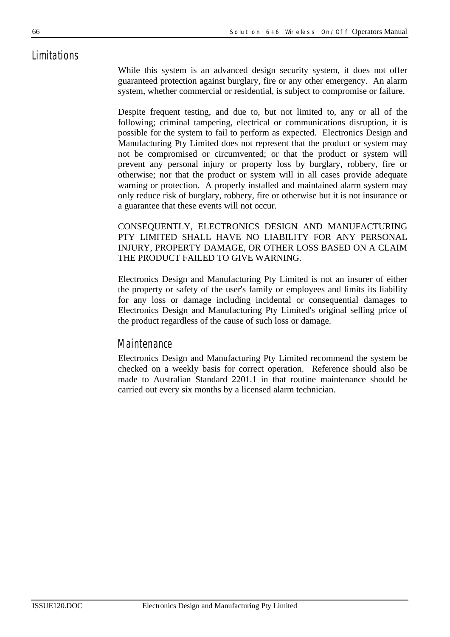## *Limitations*

While this system is an advanced design security system, it does not offer guaranteed protection against burglary, fire or any other emergency. An alarm system, whether commercial or residential, is subject to compromise or failure.

Despite frequent testing, and due to, but not limited to, any or all of the following; criminal tampering, electrical or communications disruption, it is possible for the system to fail to perform as expected. Electronics Design and Manufacturing Pty Limited does not represent that the product or system may not be compromised or circumvented; or that the product or system will prevent any personal injury or property loss by burglary, robbery, fire or otherwise; nor that the product or system will in all cases provide adequate warning or protection. A properly installed and maintained alarm system may only reduce risk of burglary, robbery, fire or otherwise but it is not insurance or a guarantee that these events will not occur.

CONSEQUENTLY, ELECTRONICS DESIGN AND MANUFACTURING PTY LIMITED SHALL HAVE NO LIABILITY FOR ANY PERSONAL INJURY, PROPERTY DAMAGE, OR OTHER LOSS BASED ON A CLAIM THE PRODUCT FAILED TO GIVE WARNING.

Electronics Design and Manufacturing Pty Limited is not an insurer of either the property or safety of the user's family or employees and limits its liability for any loss or damage including incidental or consequential damages to Electronics Design and Manufacturing Pty Limited's original selling price of the product regardless of the cause of such loss or damage.

#### *Maintenance*

Electronics Design and Manufacturing Pty Limited recommend the system be checked on a weekly basis for correct operation. Reference should also be made to Australian Standard 2201.1 in that routine maintenance should be carried out every six months by a licensed alarm technician.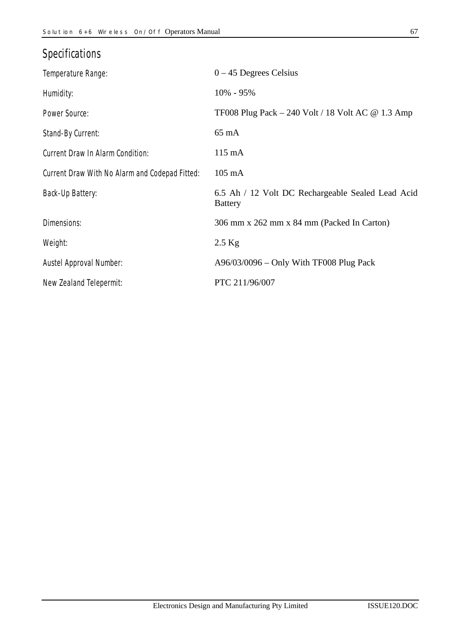| ۰.<br>전 사<br>I<br>ł<br>I<br>×<br>٧<br>٠ |
|-----------------------------------------|
|-----------------------------------------|

| <b>Specifications</b>                          |                                                                     |
|------------------------------------------------|---------------------------------------------------------------------|
| Temperature Range:                             | $0 - 45$ Degrees Celsius                                            |
| Humidity:                                      | 10% - 95%                                                           |
| Power Source:                                  | TF008 Plug Pack $-$ 240 Volt / 18 Volt AC $\omega$ 1.3 Amp          |
| Stand-By Current:                              | $65 \text{ mA}$                                                     |
| Current Draw In Alarm Condition:               | $115 \text{ mA}$                                                    |
| Current Draw With No Alarm and Codepad Fitted: | 105 mA                                                              |
| Back-Up Battery:                               | 6.5 Ah / 12 Volt DC Rechargeable Sealed Lead Acid<br><b>Battery</b> |
| Dimensions:                                    | 306 mm x 262 mm x 84 mm (Packed In Carton)                          |
| Weight:                                        | $2.5$ Kg                                                            |
| Austel Approval Number:                        | $A96/03/0096 - Only With TFO08 Plug Pack$                           |
| New Zealand Telepermit:                        | PTC 211/96/007                                                      |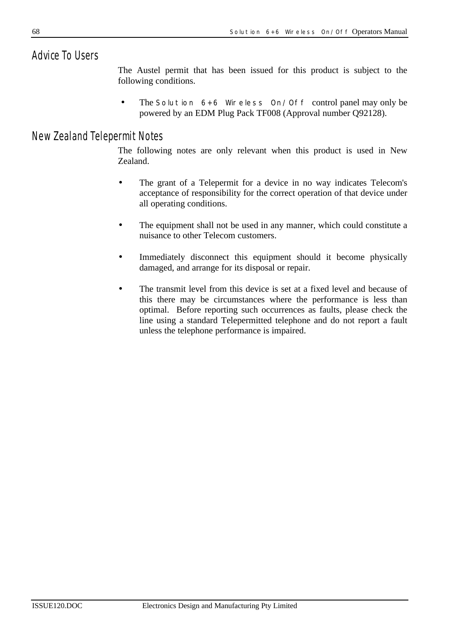## *Advice To Users*

The Austel permit that has been issued for this product is subject to the following conditions.

• The *Solution 6+6 Wireless On/Off* control panel may only be powered by an EDM Plug Pack TF008 (Approval number Q92128).

## *New Zealand Telepermit Notes*

The following notes are only relevant when this product is used in New Zealand.

- The grant of a Telepermit for a device in no way indicates Telecom's acceptance of responsibility for the correct operation of that device under all operating conditions.
- The equipment shall not be used in any manner, which could constitute a nuisance to other Telecom customers.
- Immediately disconnect this equipment should it become physically damaged, and arrange for its disposal or repair.
- The transmit level from this device is set at a fixed level and because of this there may be circumstances where the performance is less than optimal. Before reporting such occurrences as faults, please check the line using a standard Telepermitted telephone and do not report a fault unless the telephone performance is impaired.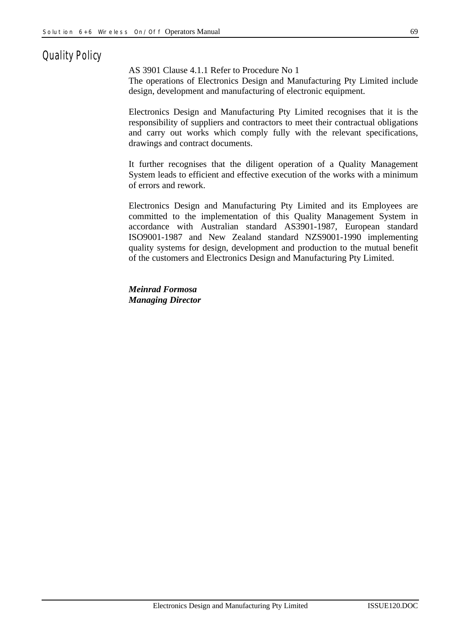## *Quality Policy*

AS 3901 Clause 4.1.1 Refer to Procedure No 1

The operations of Electronics Design and Manufacturing Pty Limited include design, development and manufacturing of electronic equipment.

Electronics Design and Manufacturing Pty Limited recognises that it is the responsibility of suppliers and contractors to meet their contractual obligations and carry out works which comply fully with the relevant specifications, drawings and contract documents.

It further recognises that the diligent operation of a Quality Management System leads to efficient and effective execution of the works with a minimum of errors and rework.

Electronics Design and Manufacturing Pty Limited and its Employees are committed to the implementation of this Quality Management System in accordance with Australian standard AS3901-1987, European standard ISO9001-1987 and New Zealand standard NZS9001-1990 implementing quality systems for design, development and production to the mutual benefit of the customers and Electronics Design and Manufacturing Pty Limited.

*Meinrad Formosa Managing Director*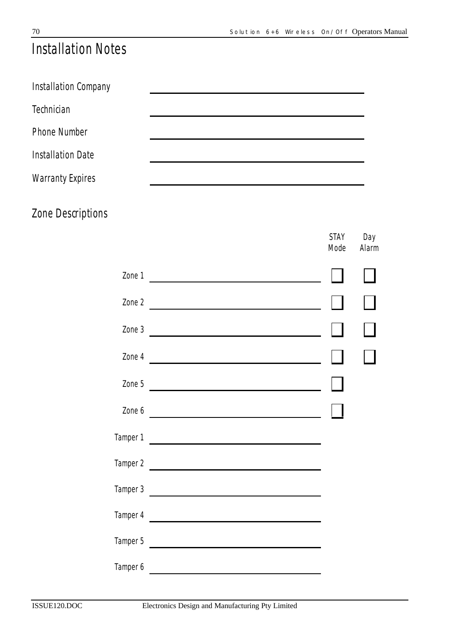*STAY*

*Day*

## *Installation Notes*

| Installation Company     |  |
|--------------------------|--|
| <b>Technician</b>        |  |
| <b>Phone Number</b>      |  |
| <b>Installation Date</b> |  |
| <b>Warranty Expires</b>  |  |
| Zone Descriptions        |  |

|                                 | Mode | Alarm |
|---------------------------------|------|-------|
|                                 |      |       |
|                                 |      |       |
| Zone $3$                        |      |       |
| Zone $4 \overline{)}$           |      |       |
| Zone 5                          |      |       |
| Zone $6 \overline{\phantom{a}}$ |      |       |
|                                 |      |       |
|                                 |      |       |
| $Tamper 3$ $\qquad \qquad$      |      |       |
| Tamper 4                        |      |       |
| Tamper 5                        |      |       |
| Tamper 6                        |      |       |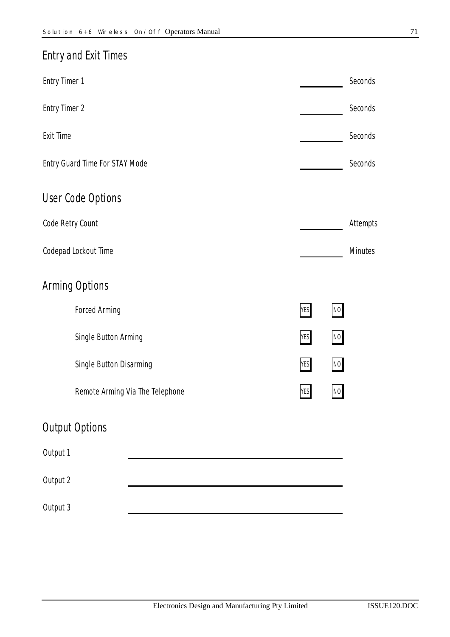# *Entry and Exit Times Entry Timer 1 Seconds Entry Timer 2 Seconds Exit Time Seconds Entry Guard Time For STAY Mode Seconds User Code Options Code Retry Count Attempts Codepad Lockout Time Minutes Arming Options Forced Arming NO Single Button Arming YES NO Single Button Disarming YES NO Remote Arming Via The Telephone YES NO Output Options Output 1 Output 2 Output 3*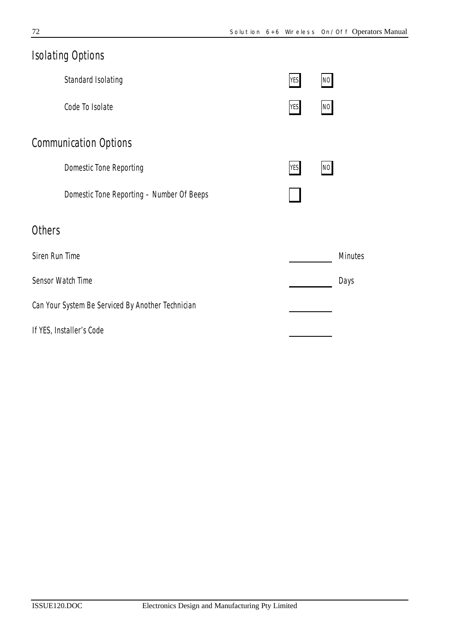| <b>Isolating Options</b>     |                                                   |            |    |                |  |  |
|------------------------------|---------------------------------------------------|------------|----|----------------|--|--|
|                              | Standard Isolating                                | <b>YES</b> | NO |                |  |  |
|                              | Code To Isolate                                   | <b>YES</b> | NO |                |  |  |
| <b>Communication Options</b> |                                                   |            |    |                |  |  |
|                              | <b>Domestic Tone Reporting</b>                    | <b>YES</b> | NO |                |  |  |
|                              | Domestic Tone Reporting - Number Of Beeps         |            |    |                |  |  |
| <b>Others</b>                |                                                   |            |    |                |  |  |
| Siren Run Time               |                                                   |            |    | <b>Minutes</b> |  |  |
|                              | Sensor Watch Time                                 |            |    | Days           |  |  |
|                              | Can Your System Be Serviced By Another Technician |            |    |                |  |  |
|                              | If YES, Installer's Code                          |            |    |                |  |  |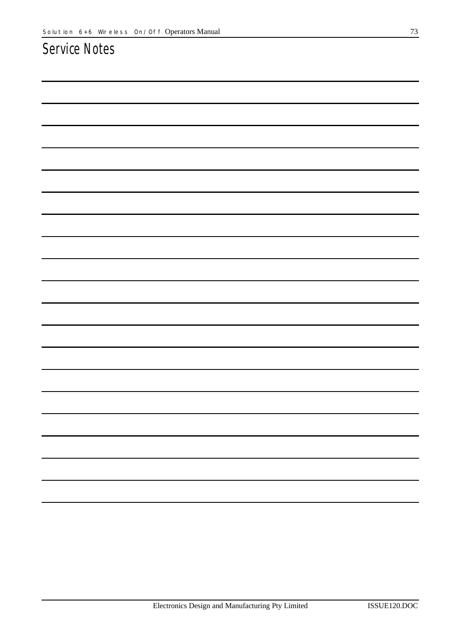## *Service Notes*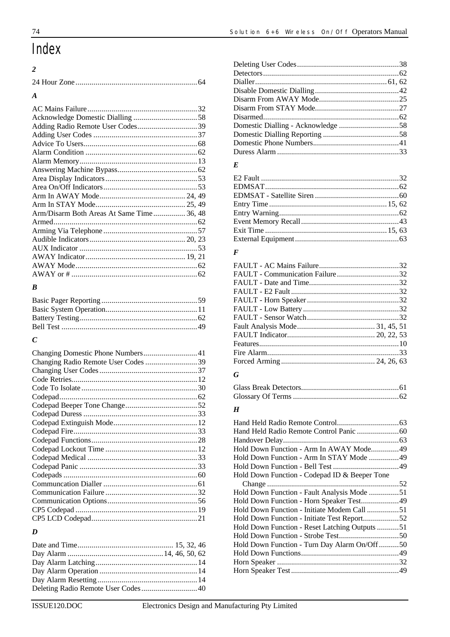# *Index*

## *2*

| $\boldsymbol{A}$                          |  |
|-------------------------------------------|--|
|                                           |  |
|                                           |  |
|                                           |  |
|                                           |  |
|                                           |  |
|                                           |  |
|                                           |  |
|                                           |  |
|                                           |  |
|                                           |  |
|                                           |  |
|                                           |  |
| Arm/Disarm Both Areas At Same Time 36, 48 |  |
|                                           |  |
|                                           |  |
|                                           |  |
|                                           |  |
|                                           |  |
|                                           |  |
|                                           |  |

## *B*

## *C*

| Changing Radio Remote User Codes 39 |  |
|-------------------------------------|--|
|                                     |  |
|                                     |  |
|                                     |  |
|                                     |  |
|                                     |  |
|                                     |  |
|                                     |  |
|                                     |  |
|                                     |  |
|                                     |  |
|                                     |  |
|                                     |  |
|                                     |  |
|                                     |  |
|                                     |  |
|                                     |  |
|                                     |  |
|                                     |  |
|                                     |  |

#### *D*

| Deleting Radio Remote User Codes40 |  |
|------------------------------------|--|

## *E*

### *F*

### *G*

## *H*

| Hold Down Function - Arm In AWAY Mode49       |  |
|-----------------------------------------------|--|
|                                               |  |
|                                               |  |
| Hold Down Function - Codepad ID & Beeper Tone |  |
|                                               |  |
| Hold Down Function - Fault Analysis Mode 51   |  |
| Hold Down Function - Horn Speaker Test49      |  |
| Hold Down Function - Initiate Modem Call 51   |  |
| Hold Down Function - Initiate Test Report52   |  |
| Hold Down Function - Reset Latching Outputs51 |  |
|                                               |  |
| Hold Down Function - Turn Day Alarm On/Off50  |  |
|                                               |  |
|                                               |  |
|                                               |  |
|                                               |  |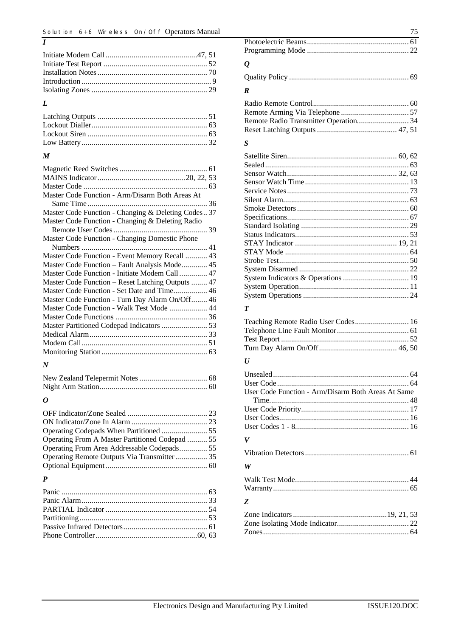#### *L*

*I*

### *M*

| Master Code Function - Arm/Disarm Both Areas At    |  |
|----------------------------------------------------|--|
|                                                    |  |
| Master Code Function - Changing & Deleting Codes37 |  |
| Master Code Function - Changing & Deleting Radio   |  |
|                                                    |  |
| Master Code Function - Changing Domestic Phone     |  |
|                                                    |  |
| Master Code Function - Event Memory Recall  43     |  |
| Master Code Function - Fault Analysis Mode 45      |  |
| Master Code Function - Initiate Modem Call 47      |  |
| Master Code Function - Reset Latching Outputs  47  |  |
| Master Code Function - Set Date and Time 46        |  |
| Master Code Function - Turn Day Alarm On/Off 46    |  |
| Master Code Function - Walk Test Mode  44          |  |
|                                                    |  |
|                                                    |  |
|                                                    |  |
|                                                    |  |
|                                                    |  |
|                                                    |  |

#### *N*

#### *O*

| Operating From A Master Partitioned Codepad  55 |  |
|-------------------------------------------------|--|
|                                                 |  |
| Operating Remote Outputs Via Transmitter 35     |  |
|                                                 |  |
|                                                 |  |

#### *P*

| $\Omega$ |  |
|----------|--|

## *Q*

## *R*

#### *S*

#### *T*

| Teaching Remote Radio User Codes 16 |  |
|-------------------------------------|--|
|                                     |  |
|                                     |  |
|                                     |  |

#### *U*

| User Code Function - Arm/Disarm Both Areas At Same |  |
|----------------------------------------------------|--|
|                                                    |  |
|                                                    |  |
|                                                    |  |
|                                                    |  |
| V                                                  |  |
|                                                    |  |
| W                                                  |  |
|                                                    |  |
| Z                                                  |  |
|                                                    |  |

Zone Isolating Mode Indicator.................................... 22 Zones......................................................................... 64